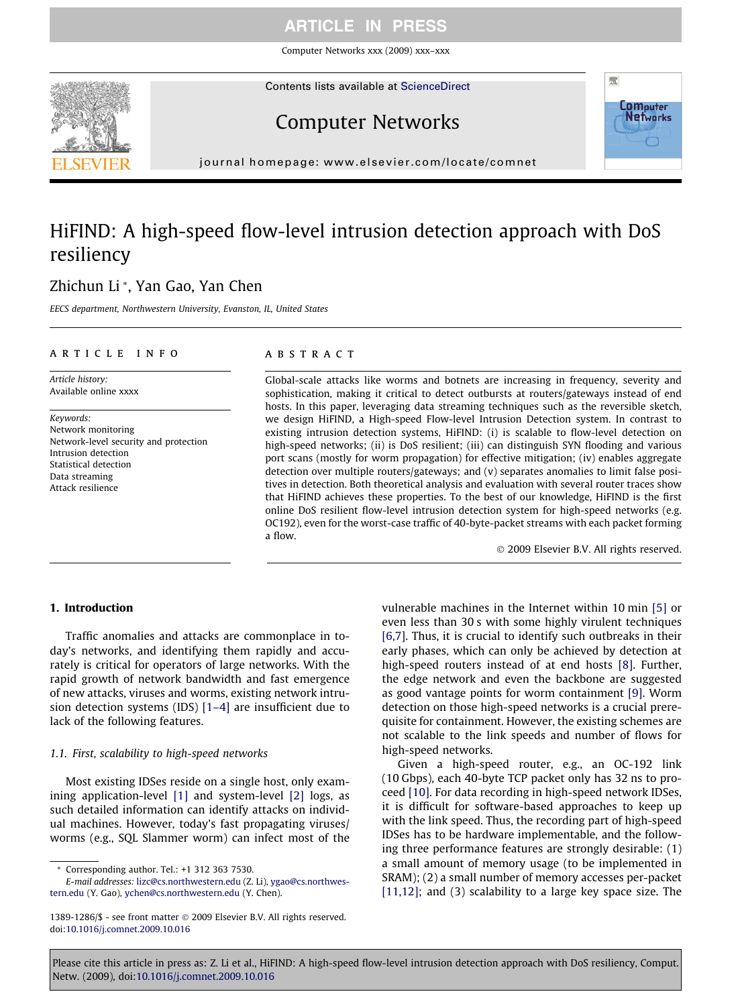Computer Networks xxx (2009) xxx–xxx

Contents lists available at [ScienceDirect](http://www.sciencedirect.com/science/journal/13891286)



# Computer Networks



journal homepage: [www.elsevier.com/locate/comnet](http://www.elsevier.com/locate/comnet)

# HiFIND: A high-speed flow-level intrusion detection approach with DoS resiliency

## Zhichun Li \*, Yan Gao, Yan Chen

EECS department, Northwestern University, Evanston, IL, United States

## article info

Article history: Available online xxxx

Keywords: Network monitoring Network-level security and protection Intrusion detection Statistical detection Data streaming Attack resilience

### **ABSTRACT**

Global-scale attacks like worms and botnets are increasing in frequency, severity and sophistication, making it critical to detect outbursts at routers/gateways instead of end hosts. In this paper, leveraging data streaming techniques such as the reversible sketch, we design HiFIND, a High-speed Flow-level Intrusion Detection system. In contrast to existing intrusion detection systems, HiFIND: (i) is scalable to flow-level detection on high-speed networks; (ii) is DoS resilient; (iii) can distinguish SYN flooding and various port scans (mostly for worm propagation) for effective mitigation; (iv) enables aggregate detection over multiple routers/gateways; and (v) separates anomalies to limit false positives in detection. Both theoretical analysis and evaluation with several router traces show that HiFIND achieves these properties. To the best of our knowledge, HiFIND is the first online DoS resilient flow-level intrusion detection system for high-speed networks (e.g. OC192), even for the worst-case traffic of 40-byte-packet streams with each packet forming a flow.

- 2009 Elsevier B.V. All rights reserved.

## 1. Introduction

Traffic anomalies and attacks are commonplace in today's networks, and identifying them rapidly and accurately is critical for operators of large networks. With the rapid growth of network bandwidth and fast emergence of new attacks, viruses and worms, existing network intrusion detection systems (IDS) [\[1–4\]](#page-16-0) are insufficient due to lack of the following features.

### 1.1. First, scalability to high-speed networks

Most existing IDSes reside on a single host, only examining application-level [\[1\]](#page-16-0) and system-level [\[2\]](#page-16-0) logs, as such detailed information can identify attacks on individual machines. However, today's fast propagating viruses/ worms (e.g., SQL Slammer worm) can infect most of the

\* Corresponding author. Tel.: +1 312 363 7530.

vulnerable machines in the Internet within 10 min [\[5\]](#page-16-0) or even less than 30 s with some highly virulent techniques [\[6,7\]](#page-16-0). Thus, it is crucial to identify such outbreaks in their early phases, which can only be achieved by detection at high-speed routers instead of at end hosts [\[8\]](#page-16-0). Further, the edge network and even the backbone are suggested as good vantage points for worm containment [\[9\]](#page-16-0). Worm detection on those high-speed networks is a crucial prerequisite for containment. However, the existing schemes are not scalable to the link speeds and number of flows for high-speed networks.

Given a high-speed router, e.g., an OC-192 link (10 Gbps), each 40-byte TCP packet only has 32 ns to proceed [\[10\].](#page-16-0) For data recording in high-speed network IDSes, it is difficult for software-based approaches to keep up with the link speed. Thus, the recording part of high-speed IDSes has to be hardware implementable, and the following three performance features are strongly desirable: (1) a small amount of memory usage (to be implemented in SRAM); (2) a small number of memory accesses per-packet [\[11,12\];](#page-16-0) and (3) scalability to a large key space size. The

E-mail addresses: [lizc@cs.northwestern.edu](mailto:lizc@cs.northwestern.edu) (Z. Li), [ygao@cs.northwes](mailto:ygao@cs.northwestern.edu)[tern.edu](mailto:ygao@cs.northwestern.edu) (Y. Gao), [ychen@cs.northwestern.edu](mailto:ychen@cs.northwestern.edu) (Y. Chen).

<sup>1389-1286/\$ -</sup> see front matter © 2009 Elsevier B.V. All rights reserved. doi:[10.1016/j.comnet.2009.10.016](http://dx.doi.org/10.1016/j.comnet.2009.10.016)

Please cite this article in press as: Z. Li et al., HiFIND: A high-speed flow-level intrusion detection approach with DoS resiliency, Comput. Netw. (2009), doi:[10.1016/j.comnet.2009.10.016](http://dx.doi.org/10.1016/j.comnet.2009.10.016)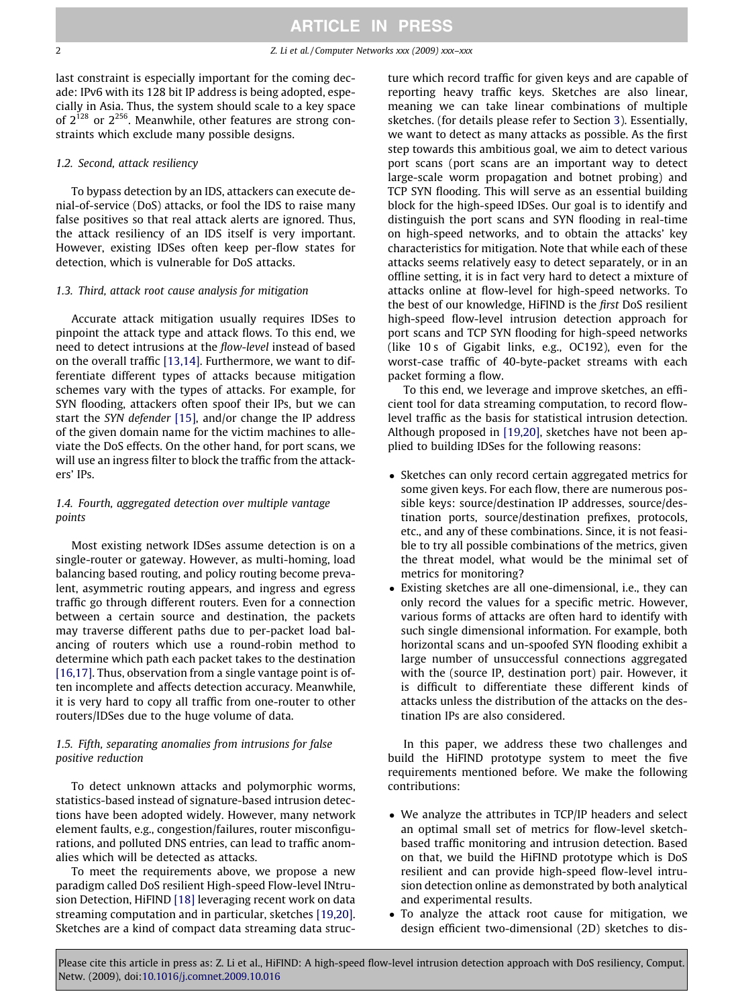last constraint is especially important for the coming decade: IPv6 with its 128 bit IP address is being adopted, especially in Asia. Thus, the system should scale to a key space of  $2^{128}$  or  $2^{256}$ . Meanwhile, other features are strong constraints which exclude many possible designs.

### 1.2. Second, attack resiliency

To bypass detection by an IDS, attackers can execute denial-of-service (DoS) attacks, or fool the IDS to raise many false positives so that real attack alerts are ignored. Thus, the attack resiliency of an IDS itself is very important. However, existing IDSes often keep per-flow states for detection, which is vulnerable for DoS attacks.

### 1.3. Third, attack root cause analysis for mitigation

Accurate attack mitigation usually requires IDSes to pinpoint the attack type and attack flows. To this end, we need to detect intrusions at the flow-level instead of based on the overall traffic [\[13,14\]](#page-16-0). Furthermore, we want to differentiate different types of attacks because mitigation schemes vary with the types of attacks. For example, for SYN flooding, attackers often spoof their IPs, but we can start the SYN defender [\[15\],](#page-16-0) and/or change the IP address of the given domain name for the victim machines to alleviate the DoS effects. On the other hand, for port scans, we will use an ingress filter to block the traffic from the attackers' IPs.

## 1.4. Fourth, aggregated detection over multiple vantage points

Most existing network IDSes assume detection is on a single-router or gateway. However, as multi-homing, load balancing based routing, and policy routing become prevalent, asymmetric routing appears, and ingress and egress traffic go through different routers. Even for a connection between a certain source and destination, the packets may traverse different paths due to per-packet load balancing of routers which use a round-robin method to determine which path each packet takes to the destination [\[16,17\]](#page-16-0). Thus, observation from a single vantage point is often incomplete and affects detection accuracy. Meanwhile, it is very hard to copy all traffic from one-router to other routers/IDSes due to the huge volume of data.

## 1.5. Fifth, separating anomalies from intrusions for false positive reduction

To detect unknown attacks and polymorphic worms, statistics-based instead of signature-based intrusion detections have been adopted widely. However, many network element faults, e.g., congestion/failures, router misconfigurations, and polluted DNS entries, can lead to traffic anomalies which will be detected as attacks.

To meet the requirements above, we propose a new paradigm called DoS resilient High-speed Flow-level INtrusion Detection, HiFIND [\[18\]](#page-16-0) leveraging recent work on data streaming computation and in particular, sketches [\[19,20\]](#page-16-0). Sketches are a kind of compact data streaming data struc-

ture which record traffic for given keys and are capable of reporting heavy traffic keys. Sketches are also linear, meaning we can take linear combinations of multiple sketches. (for details please refer to Section 3). Essentially, we want to detect as many attacks as possible. As the first step towards this ambitious goal, we aim to detect various port scans (port scans are an important way to detect large-scale worm propagation and botnet probing) and TCP SYN flooding. This will serve as an essential building block for the high-speed IDSes. Our goal is to identify and distinguish the port scans and SYN flooding in real-time on high-speed networks, and to obtain the attacks' key characteristics for mitigation. Note that while each of these attacks seems relatively easy to detect separately, or in an offline setting, it is in fact very hard to detect a mixture of attacks online at flow-level for high-speed networks. To the best of our knowledge, HiFIND is the first DoS resilient high-speed flow-level intrusion detection approach for port scans and TCP SYN flooding for high-speed networks (like 10 s of Gigabit links, e.g., OC192), even for the worst-case traffic of 40-byte-packet streams with each packet forming a flow.

To this end, we leverage and improve sketches, an efficient tool for data streaming computation, to record flowlevel traffic as the basis for statistical intrusion detection. Although proposed in [\[19,20\]](#page-16-0), sketches have not been applied to building IDSes for the following reasons:

- Sketches can only record certain aggregated metrics for some given keys. For each flow, there are numerous possible keys: source/destination IP addresses, source/destination ports, source/destination prefixes, protocols, etc., and any of these combinations. Since, it is not feasible to try all possible combinations of the metrics, given the threat model, what would be the minimal set of metrics for monitoring?
- Existing sketches are all one-dimensional, i.e., they can only record the values for a specific metric. However, various forms of attacks are often hard to identify with such single dimensional information. For example, both horizontal scans and un-spoofed SYN flooding exhibit a large number of unsuccessful connections aggregated with the (source IP, destination port) pair. However, it is difficult to differentiate these different kinds of attacks unless the distribution of the attacks on the destination IPs are also considered.

In this paper, we address these two challenges and build the HiFIND prototype system to meet the five requirements mentioned before. We make the following contributions:

- We analyze the attributes in TCP/IP headers and select an optimal small set of metrics for flow-level sketchbased traffic monitoring and intrusion detection. Based on that, we build the HiFIND prototype which is DoS resilient and can provide high-speed flow-level intrusion detection online as demonstrated by both analytical and experimental results.
- To analyze the attack root cause for mitigation, we design efficient two-dimensional (2D) sketches to dis-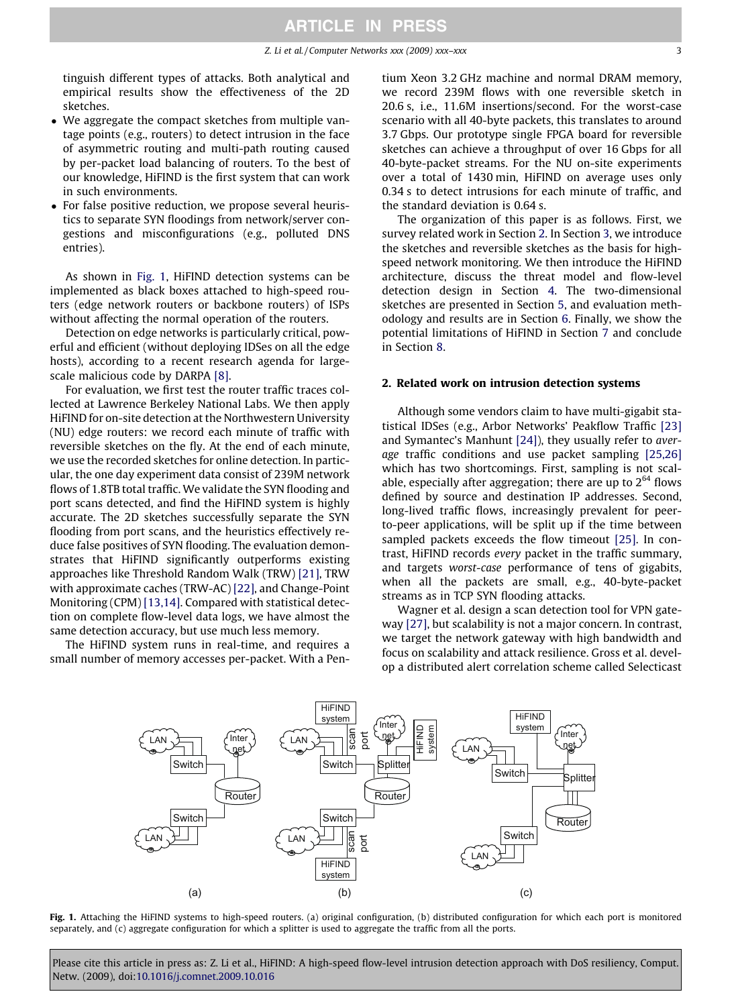tinguish different types of attacks. Both analytical and empirical results show the effectiveness of the 2D sketches.

- $\bullet$  We aggregate the compact sketches from multiple vantage points (e.g., routers) to detect intrusion in the face of asymmetric routing and multi-path routing caused by per-packet load balancing of routers. To the best of our knowledge, HiFIND is the first system that can work in such environments.
- For false positive reduction, we propose several heuristics to separate SYN floodings from network/server congestions and misconfigurations (e.g., polluted DNS entries).

As shown in Fig. 1, HiFIND detection systems can be implemented as black boxes attached to high-speed routers (edge network routers or backbone routers) of ISPs without affecting the normal operation of the routers.

Detection on edge networks is particularly critical, powerful and efficient (without deploying IDSes on all the edge hosts), according to a recent research agenda for largescale malicious code by DARPA [\[8\].](#page-16-0)

For evaluation, we first test the router traffic traces collected at Lawrence Berkeley National Labs. We then apply HiFIND for on-site detection at the Northwestern University (NU) edge routers: we record each minute of traffic with reversible sketches on the fly. At the end of each minute, we use the recorded sketches for online detection. In particular, the one day experiment data consist of 239M network flows of 1.8TB total traffic. We validate the SYN flooding and port scans detected, and find the HiFIND system is highly accurate. The 2D sketches successfully separate the SYN flooding from port scans, and the heuristics effectively reduce false positives of SYN flooding. The evaluation demonstrates that HiFIND significantly outperforms existing approaches like Threshold Random Walk (TRW) [\[21\],](#page-16-0) TRW with approximate caches (TRW-AC) [\[22\],](#page-16-0) and Change-Point Monitoring (CPM) [\[13,14\].](#page-16-0) Compared with statistical detection on complete flow-level data logs, we have almost the same detection accuracy, but use much less memory.

The HiFIND system runs in real-time, and requires a small number of memory accesses per-packet. With a Pentium Xeon 3.2 GHz machine and normal DRAM memory, we record 239M flows with one reversible sketch in 20.6 s, i.e., 11.6M insertions/second. For the worst-case scenario with all 40-byte packets, this translates to around 3.7 Gbps. Our prototype single FPGA board for reversible sketches can achieve a throughput of over 16 Gbps for all 40-byte-packet streams. For the NU on-site experiments over a total of 1430 min, HiFIND on average uses only 0.34 s to detect intrusions for each minute of traffic, and the standard deviation is 0.64 s.

The organization of this paper is as follows. First, we survey related work in Section 2. In Section 3, we introduce the sketches and reversible sketches as the basis for highspeed network monitoring. We then introduce the HiFIND architecture, discuss the threat model and flow-level detection design in Section 4. The two-dimensional sketches are presented in Section 5, and evaluation methodology and results are in Section 6. Finally, we show the potential limitations of HiFIND in Section 7 and conclude in Section 8.

### 2. Related work on intrusion detection systems

Although some vendors claim to have multi-gigabit statistical IDSes (e.g., Arbor Networks' Peakflow Traffic [\[23\]](#page-16-0) and Symantec's Manhunt [\[24\]](#page-16-0)), they usually refer to aver-age traffic conditions and use packet sampling [\[25,26\]](#page-16-0) which has two shortcomings. First, sampling is not scalable, especially after aggregation; there are up to  $2^{64}$  flows defined by source and destination IP addresses. Second, long-lived traffic flows, increasingly prevalent for peerto-peer applications, will be split up if the time between sampled packets exceeds the flow timeout [\[25\]](#page-16-0). In contrast, HiFIND records every packet in the traffic summary, and targets worst-case performance of tens of gigabits, when all the packets are small, e.g., 40-byte-packet streams as in TCP SYN flooding attacks.

Wagner et al. design a scan detection tool for VPN gateway [\[27\]](#page-16-0), but scalability is not a major concern. In contrast, we target the network gateway with high bandwidth and focus on scalability and attack resilience. Gross et al. develop a distributed alert correlation scheme called Selecticast



Fig. 1. Attaching the HiFIND systems to high-speed routers. (a) original configuration, (b) distributed configuration for which each port is monitored separately, and (c) aggregate configuration for which a splitter is used to aggregate the traffic from all the ports.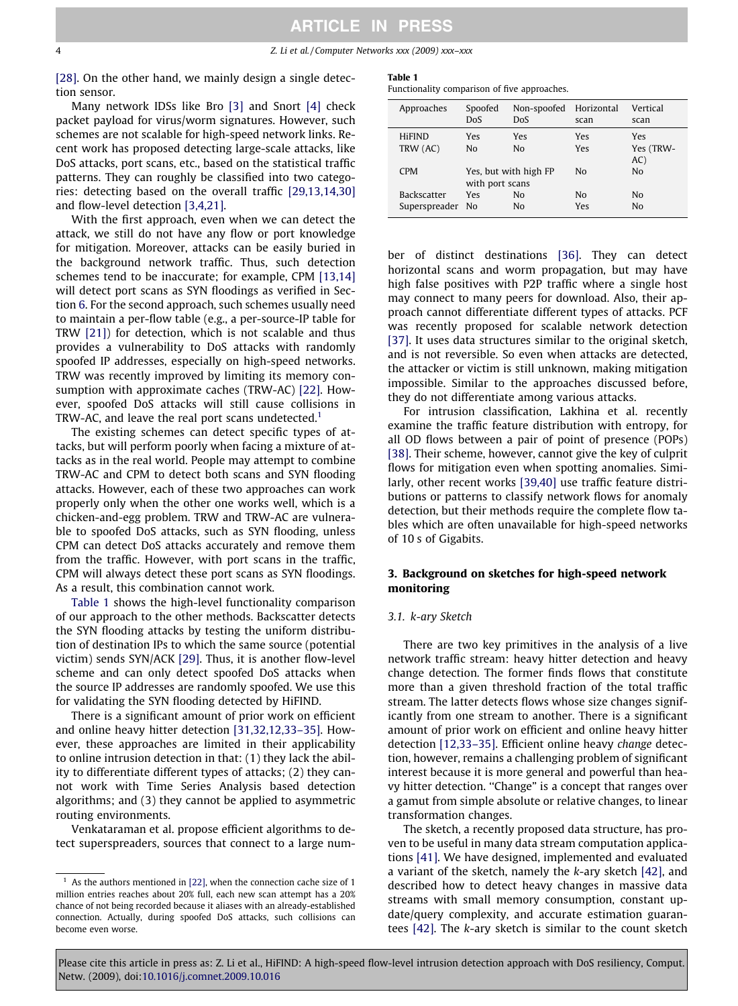4 Z. Li et al. / Computer Networks xxx (2009) xxx–xxx

[\[28\].](#page-16-0) On the other hand, we mainly design a single detection sensor.

Many network IDSs like Bro [\[3\]](#page-16-0) and Snort [\[4\]](#page-16-0) check packet payload for virus/worm signatures. However, such schemes are not scalable for high-speed network links. Recent work has proposed detecting large-scale attacks, like DoS attacks, port scans, etc., based on the statistical traffic patterns. They can roughly be classified into two categories: detecting based on the overall traffic [\[29,13,14,30\]](#page-16-0) and flow-level detection [\[3,4,21\]](#page-16-0).

With the first approach, even when we can detect the attack, we still do not have any flow or port knowledge for mitigation. Moreover, attacks can be easily buried in the background network traffic. Thus, such detection schemes tend to be inaccurate; for example, CPM [\[13,14\]](#page-16-0) will detect port scans as SYN floodings as verified in Section 6. For the second approach, such schemes usually need to maintain a per-flow table (e.g., a per-source-IP table for TRW [\[21\]\)](#page-16-0) for detection, which is not scalable and thus provides a vulnerability to DoS attacks with randomly spoofed IP addresses, especially on high-speed networks. TRW was recently improved by limiting its memory consumption with approximate caches (TRW-AC) [\[22\]](#page-16-0). However, spoofed DoS attacks will still cause collisions in TRW-AC, and leave the real port scans undetected.<sup>1</sup>

The existing schemes can detect specific types of attacks, but will perform poorly when facing a mixture of attacks as in the real world. People may attempt to combine TRW-AC and CPM to detect both scans and SYN flooding attacks. However, each of these two approaches can work properly only when the other one works well, which is a chicken-and-egg problem. TRW and TRW-AC are vulnerable to spoofed DoS attacks, such as SYN flooding, unless CPM can detect DoS attacks accurately and remove them from the traffic. However, with port scans in the traffic, CPM will always detect these port scans as SYN floodings. As a result, this combination cannot work.

Table 1 shows the high-level functionality comparison of our approach to the other methods. Backscatter detects the SYN flooding attacks by testing the uniform distribution of destination IPs to which the same source (potential victim) sends SYN/ACK [\[29\]](#page-16-0). Thus, it is another flow-level scheme and can only detect spoofed DoS attacks when the source IP addresses are randomly spoofed. We use this for validating the SYN flooding detected by HiFIND.

There is a significant amount of prior work on efficient and online heavy hitter detection [\[31,32,12,33–35\]](#page-16-0). However, these approaches are limited in their applicability to online intrusion detection in that: (1) they lack the ability to differentiate different types of attacks; (2) they cannot work with Time Series Analysis based detection algorithms; and (3) they cannot be applied to asymmetric routing environments.

Venkataraman et al. propose efficient algorithms to detect superspreaders, sources that connect to a large num-

### Table 1

Functionality comparison of five approaches.

| Approaches         | Spoofed<br><b>DoS</b> | Non-spoofed<br><b>DoS</b> | Horizontal<br>scan | Vertical<br>scan |
|--------------------|-----------------------|---------------------------|--------------------|------------------|
| <b>HiFIND</b>      | Yes                   | Yes                       | Yes                | Yes              |
| TRW (AC)           | N <sub>0</sub>        | N <sub>0</sub>            | Yes                | Yes (TRW-        |
|                    |                       |                           |                    | AC)              |
| <b>CPM</b>         |                       | Yes, but with high FP     | No                 | N <sub>0</sub>   |
|                    | with port scans       |                           |                    |                  |
| <b>Backscatter</b> | Yes                   | N <sub>0</sub>            | No                 | N <sub>0</sub>   |
| Superspreader No   |                       | N <sub>0</sub>            | Yes                | N <sub>0</sub>   |

ber of distinct destinations [\[36\]](#page-16-0). They can detect horizontal scans and worm propagation, but may have high false positives with P2P traffic where a single host may connect to many peers for download. Also, their approach cannot differentiate different types of attacks. PCF was recently proposed for scalable network detection [\[37\].](#page-16-0) It uses data structures similar to the original sketch, and is not reversible. So even when attacks are detected, the attacker or victim is still unknown, making mitigation impossible. Similar to the approaches discussed before, they do not differentiate among various attacks.

For intrusion classification, Lakhina et al. recently examine the traffic feature distribution with entropy, for all OD flows between a pair of point of presence (POPs) [\[38\].](#page-16-0) Their scheme, however, cannot give the key of culprit flows for mitigation even when spotting anomalies. Similarly, other recent works [\[39,40\]](#page-16-0) use traffic feature distributions or patterns to classify network flows for anomaly detection, but their methods require the complete flow tables which are often unavailable for high-speed networks of 10 s of Gigabits.

## 3. Background on sketches for high-speed network monitoring

## 3.1. k-ary Sketch

There are two key primitives in the analysis of a live network traffic stream: heavy hitter detection and heavy change detection. The former finds flows that constitute more than a given threshold fraction of the total traffic stream. The latter detects flows whose size changes significantly from one stream to another. There is a significant amount of prior work on efficient and online heavy hitter detection [\[12,33–35\].](#page-16-0) Efficient online heavy change detection, however, remains a challenging problem of significant interest because it is more general and powerful than heavy hitter detection. ''Change" is a concept that ranges over a gamut from simple absolute or relative changes, to linear transformation changes.

The sketch, a recently proposed data structure, has proven to be useful in many data stream computation applications [\[41\].](#page-16-0) We have designed, implemented and evaluated a variant of the sketch, namely the  $k$ -ary sketch  $[42]$ , and described how to detect heavy changes in massive data streams with small memory consumption, constant update/query complexity, and accurate estimation guarantees [\[42\]](#page-16-0). The k-ary sketch is similar to the count sketch

 $1$  As the authors mentioned in [\[22\],](#page-16-0) when the connection cache size of 1 million entries reaches about 20% full, each new scan attempt has a 20% chance of not being recorded because it aliases with an already-established connection. Actually, during spoofed DoS attacks, such collisions can become even worse.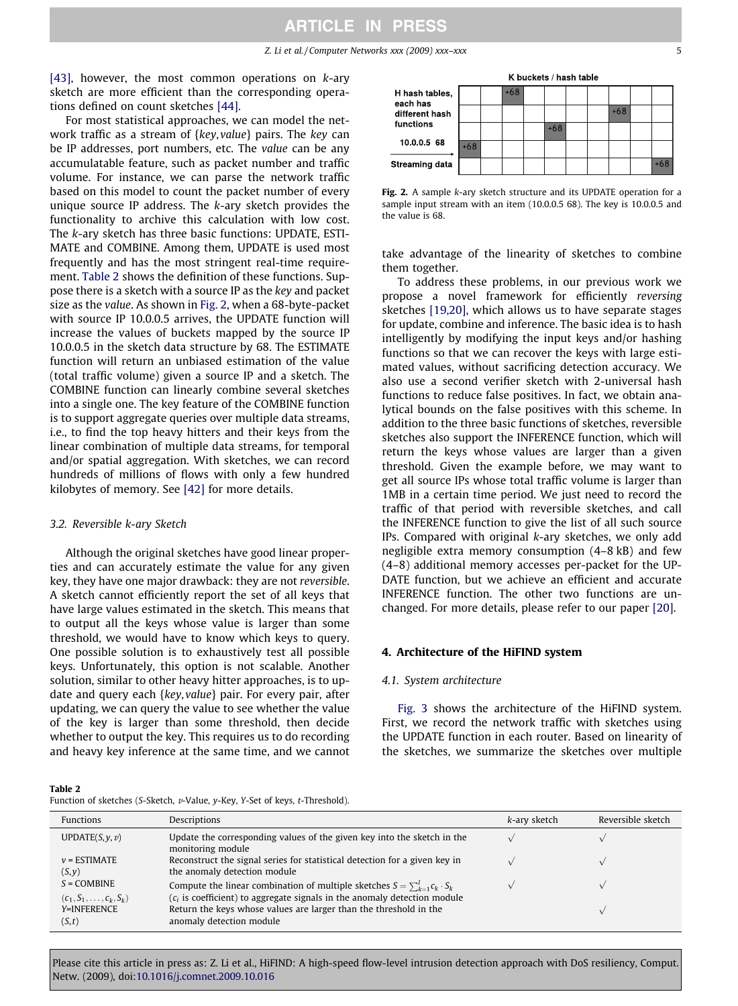[\[43\]](#page-16-0), however, the most common operations on  $k$ -ary sketch are more efficient than the corresponding operations defined on count sketches [\[44\].](#page-16-0)

For most statistical approaches, we can model the network traffic as a stream of {key,value} pairs. The key can be IP addresses, port numbers, etc. The value can be any accumulatable feature, such as packet number and traffic volume. For instance, we can parse the network traffic based on this model to count the packet number of every unique source IP address. The k-ary sketch provides the functionality to archive this calculation with low cost. The k-ary sketch has three basic functions: UPDATE, ESTI-MATE and COMBINE. Among them, UPDATE is used most frequently and has the most stringent real-time requirement. Table 2 shows the definition of these functions. Suppose there is a sketch with a source IP as the key and packet size as the value. As shown in Fig. 2, when a 68-byte-packet with source IP 10.0.0.5 arrives, the UPDATE function will increase the values of buckets mapped by the source IP 10.0.0.5 in the sketch data structure by 68. The ESTIMATE function will return an unbiased estimation of the value (total traffic volume) given a source IP and a sketch. The COMBINE function can linearly combine several sketches into a single one. The key feature of the COMBINE function is to support aggregate queries over multiple data streams, i.e., to find the top heavy hitters and their keys from the linear combination of multiple data streams, for temporal and/or spatial aggregation. With sketches, we can record hundreds of millions of flows with only a few hundred kilobytes of memory. See [\[42\]](#page-16-0) for more details.

### 3.2. Reversible k-ary Sketch

Although the original sketches have good linear properties and can accurately estimate the value for any given key, they have one major drawback: they are not reversible. A sketch cannot efficiently report the set of all keys that have large values estimated in the sketch. This means that to output all the keys whose value is larger than some threshold, we would have to know which keys to query. One possible solution is to exhaustively test all possible keys. Unfortunately, this option is not scalable. Another solution, similar to other heavy hitter approaches, is to update and query each {key,value} pair. For every pair, after updating, we can query the value to see whether the value of the key is larger than some threshold, then decide whether to output the key. This requires us to do recording and heavy key inference at the same time, and we cannot



Fig. 2. A sample k-ary sketch structure and its UPDATE operation for a sample input stream with an item (10.0.0.5 68). The key is 10.0.0.5 and the value is 68.

take advantage of the linearity of sketches to combine them together.

To address these problems, in our previous work we propose a novel framework for efficiently reversing sketches [\[19,20\],](#page-16-0) which allows us to have separate stages for update, combine and inference. The basic idea is to hash intelligently by modifying the input keys and/or hashing functions so that we can recover the keys with large estimated values, without sacrificing detection accuracy. We also use a second verifier sketch with 2-universal hash functions to reduce false positives. In fact, we obtain analytical bounds on the false positives with this scheme. In addition to the three basic functions of sketches, reversible sketches also support the INFERENCE function, which will return the keys whose values are larger than a given threshold. Given the example before, we may want to get all source IPs whose total traffic volume is larger than 1MB in a certain time period. We just need to record the traffic of that period with reversible sketches, and call the INFERENCE function to give the list of all such source IPs. Compared with original k-ary sketches, we only add negligible extra memory consumption (4–8 kB) and few (4–8) additional memory accesses per-packet for the UP-DATE function, but we achieve an efficient and accurate INFERENCE function. The other two functions are unchanged. For more details, please refer to our paper [\[20\]](#page-16-0).

### 4. Architecture of the HiFIND system

### 4.1. System architecture

[Fig. 3](#page-5-0) shows the architecture of the HiFIND system. First, we record the network traffic with sketches using the UPDATE function in each router. Based on linearity of the sketches, we summarize the sketches over multiple

| ٠ |  |
|---|--|
|---|--|

Function of sketches (S-Sketch, v-Value, y-Key, Y-Set of keys, t-Threshold).

| <b>Functions</b>                                | Descriptions                                                                                                                                                         | k-ary sketch | Reversible sketch |
|-------------------------------------------------|----------------------------------------------------------------------------------------------------------------------------------------------------------------------|--------------|-------------------|
| UPDATE $(S, y, v)$                              | Update the corresponding values of the given key into the sketch in the<br>monitoring module                                                                         |              |                   |
| $v = ESTIMATE$<br>(S, y)                        | Reconstruct the signal series for statistical detection for a given key in<br>the anomaly detection module                                                           |              |                   |
| $S = COMBINE$<br>$(c_1, S_1, \ldots, c_k, S_k)$ | Compute the linear combination of multiple sketches $S = \sum_{k=1}^{l} c_k \cdot S_k$<br>$(ci$ is coefficient) to aggregate signals in the anomaly detection module |              |                   |
| Y=INFERENCE<br>(S,t)                            | Return the keys whose values are larger than the threshold in the<br>anomaly detection module                                                                        |              |                   |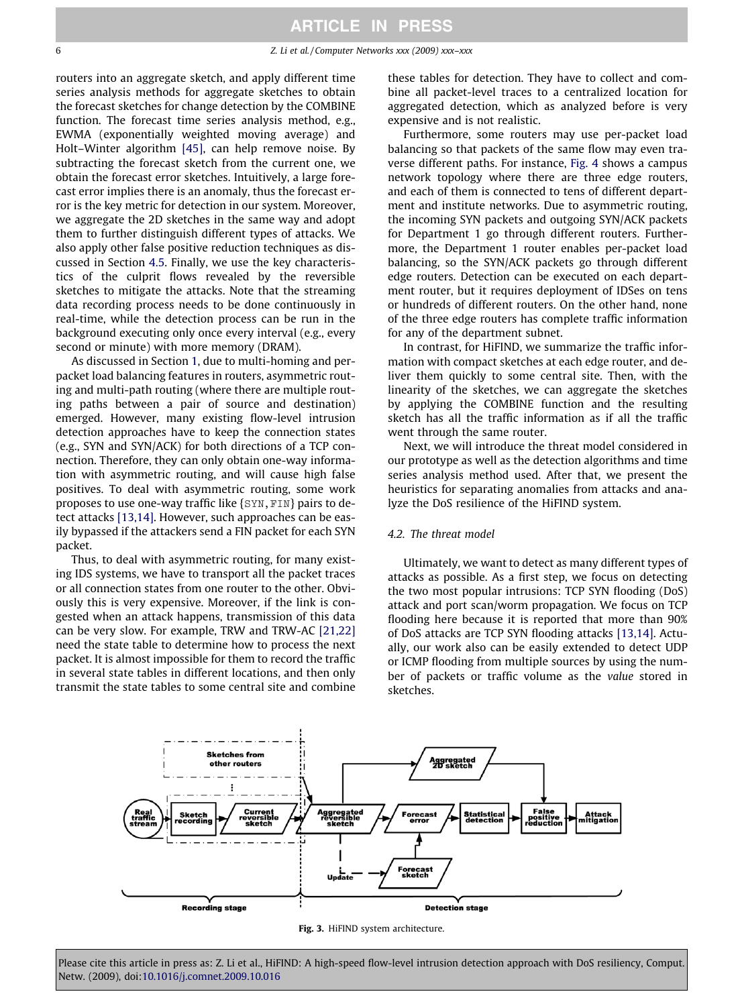<span id="page-5-0"></span>

routers into an aggregate sketch, and apply different time series analysis methods for aggregate sketches to obtain the forecast sketches for change detection by the COMBINE function. The forecast time series analysis method, e.g., EWMA (exponentially weighted moving average) and Holt–Winter algorithm [\[45\],](#page-16-0) can help remove noise. By subtracting the forecast sketch from the current one, we obtain the forecast error sketches. Intuitively, a large forecast error implies there is an anomaly, thus the forecast error is the key metric for detection in our system. Moreover, we aggregate the 2D sketches in the same way and adopt them to further distinguish different types of attacks. We also apply other false positive reduction techniques as discussed in Section 4.5. Finally, we use the key characteristics of the culprit flows revealed by the reversible sketches to mitigate the attacks. Note that the streaming data recording process needs to be done continuously in real-time, while the detection process can be run in the background executing only once every interval (e.g., every second or minute) with more memory (DRAM).

As discussed in Section 1, due to multi-homing and perpacket load balancing features in routers, asymmetric routing and multi-path routing (where there are multiple routing paths between a pair of source and destination) emerged. However, many existing flow-level intrusion detection approaches have to keep the connection states (e.g., SYN and SYN/ACK) for both directions of a TCP connection. Therefore, they can only obtain one-way information with asymmetric routing, and will cause high false positives. To deal with asymmetric routing, some work proposes to use one-way traffic like  $\{SYN, FIN\}$  pairs to detect attacks [\[13,14\]](#page-16-0). However, such approaches can be easily bypassed if the attackers send a FIN packet for each SYN packet.

Thus, to deal with asymmetric routing, for many existing IDS systems, we have to transport all the packet traces or all connection states from one router to the other. Obviously this is very expensive. Moreover, if the link is congested when an attack happens, transmission of this data can be very slow. For example, TRW and TRW-AC [\[21,22\]](#page-16-0) need the state table to determine how to process the next packet. It is almost impossible for them to record the traffic in several state tables in different locations, and then only transmit the state tables to some central site and combine

these tables for detection. They have to collect and combine all packet-level traces to a centralized location for aggregated detection, which as analyzed before is very expensive and is not realistic.

Furthermore, some routers may use per-packet load balancing so that packets of the same flow may even traverse different paths. For instance, [Fig. 4](#page-6-0) shows a campus network topology where there are three edge routers, and each of them is connected to tens of different department and institute networks. Due to asymmetric routing, the incoming SYN packets and outgoing SYN/ACK packets for Department 1 go through different routers. Furthermore, the Department 1 router enables per-packet load balancing, so the SYN/ACK packets go through different edge routers. Detection can be executed on each department router, but it requires deployment of IDSes on tens or hundreds of different routers. On the other hand, none of the three edge routers has complete traffic information for any of the department subnet.

In contrast, for HiFIND, we summarize the traffic information with compact sketches at each edge router, and deliver them quickly to some central site. Then, with the linearity of the sketches, we can aggregate the sketches by applying the COMBINE function and the resulting sketch has all the traffic information as if all the traffic went through the same router.

Next, we will introduce the threat model considered in our prototype as well as the detection algorithms and time series analysis method used. After that, we present the heuristics for separating anomalies from attacks and analyze the DoS resilience of the HiFIND system.

### 4.2. The threat model

Ultimately, we want to detect as many different types of attacks as possible. As a first step, we focus on detecting the two most popular intrusions: TCP SYN flooding (DoS) attack and port scan/worm propagation. We focus on TCP flooding here because it is reported that more than 90% of DoS attacks are TCP SYN flooding attacks [\[13,14\]](#page-16-0). Actually, our work also can be easily extended to detect UDP or ICMP flooding from multiple sources by using the number of packets or traffic volume as the value stored in sketches.



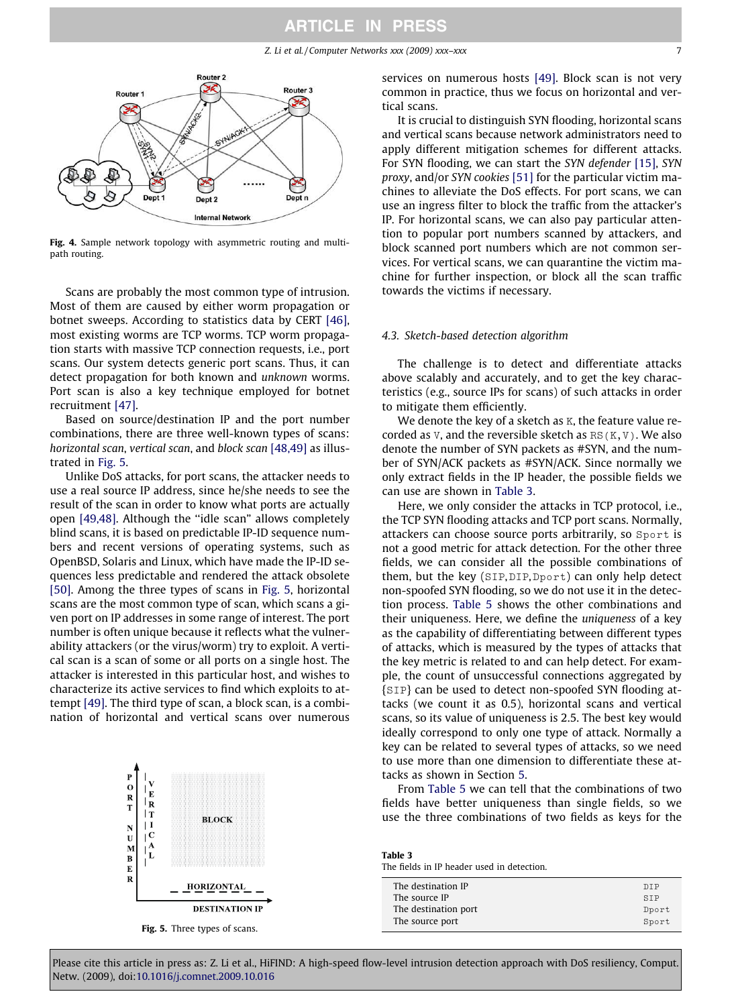Z. Li et al. / Computer Networks xxx (2009) xxx–xxx 7

<span id="page-6-0"></span>

Fig. 4. Sample network topology with asymmetric routing and multipath routing.

Scans are probably the most common type of intrusion. Most of them are caused by either worm propagation or botnet sweeps. According to statistics data by CERT [\[46\]](#page-17-0), most existing worms are TCP worms. TCP worm propagation starts with massive TCP connection requests, i.e., port scans. Our system detects generic port scans. Thus, it can detect propagation for both known and unknown worms. Port scan is also a key technique employed for botnet recruitment [\[47\]](#page-17-0).

Based on source/destination IP and the port number combinations, there are three well-known types of scans: horizontal scan, vertical scan, and block scan [\[48,49\]](#page-17-0) as illustrated in Fig. 5.

Unlike DoS attacks, for port scans, the attacker needs to use a real source IP address, since he/she needs to see the result of the scan in order to know what ports are actually open [\[49,48\].](#page-17-0) Although the ''idle scan" allows completely blind scans, it is based on predictable IP-ID sequence numbers and recent versions of operating systems, such as OpenBSD, Solaris and Linux, which have made the IP-ID sequences less predictable and rendered the attack obsolete [\[50\]](#page-17-0). Among the three types of scans in Fig. 5, horizontal scans are the most common type of scan, which scans a given port on IP addresses in some range of interest. The port number is often unique because it reflects what the vulnerability attackers (or the virus/worm) try to exploit. A vertical scan is a scan of some or all ports on a single host. The attacker is interested in this particular host, and wishes to characterize its active services to find which exploits to attempt [\[49\]](#page-17-0). The third type of scan, a block scan, is a combination of horizontal and vertical scans over numerous



Fig. 5. Three types of scans.

services on numerous hosts [\[49\]](#page-17-0). Block scan is not very common in practice, thus we focus on horizontal and vertical scans.

It is crucial to distinguish SYN flooding, horizontal scans and vertical scans because network administrators need to apply different mitigation schemes for different attacks. For SYN flooding, we can start the SYN defender [\[15\],](#page-16-0) SYN proxy, and/or SYN cookies [\[51\]](#page-17-0) for the particular victim machines to alleviate the DoS effects. For port scans, we can use an ingress filter to block the traffic from the attacker's IP. For horizontal scans, we can also pay particular attention to popular port numbers scanned by attackers, and block scanned port numbers which are not common services. For vertical scans, we can quarantine the victim machine for further inspection, or block all the scan traffic towards the victims if necessary.

### 4.3. Sketch-based detection algorithm

The challenge is to detect and differentiate attacks above scalably and accurately, and to get the key characteristics (e.g., source IPs for scans) of such attacks in order to mitigate them efficiently.

We denote the key of a sketch as  $K$ , the feature value recorded as  $V$ , and the reversible sketch as  $RS(K, V)$ . We also denote the number of SYN packets as #SYN, and the number of SYN/ACK packets as #SYN/ACK. Since normally we only extract fields in the IP header, the possible fields we can use are shown in Table 3.

Here, we only consider the attacks in TCP protocol, i.e., the TCP SYN flooding attacks and TCP port scans. Normally, attackers can choose source ports arbitrarily, so Sport is not a good metric for attack detection. For the other three fields, we can consider all the possible combinations of them, but the key (SIP,DIP,Dport) can only help detect non-spoofed SYN flooding, so we do not use it in the detection process. [Table 5](#page-8-0) shows the other combinations and their uniqueness. Here, we define the uniqueness of a key as the capability of differentiating between different types of attacks, which is measured by the types of attacks that the key metric is related to and can help detect. For example, the count of unsuccessful connections aggregated by {SIP} can be used to detect non-spoofed SYN flooding attacks (we count it as 0.5), horizontal scans and vertical scans, so its value of uniqueness is 2.5. The best key would ideally correspond to only one type of attack. Normally a key can be related to several types of attacks, so we need to use more than one dimension to differentiate these attacks as shown in Section 5.

From [Table 5](#page-8-0) we can tell that the combinations of two fields have better uniqueness than single fields, so we use the three combinations of two fields as keys for the

Table 3 The fields in IP header used in detection.

| The destination IP   | <b>DTP</b> |
|----------------------|------------|
| The source IP        | STP        |
| The destination port | Dport      |
| The source port      | Sport      |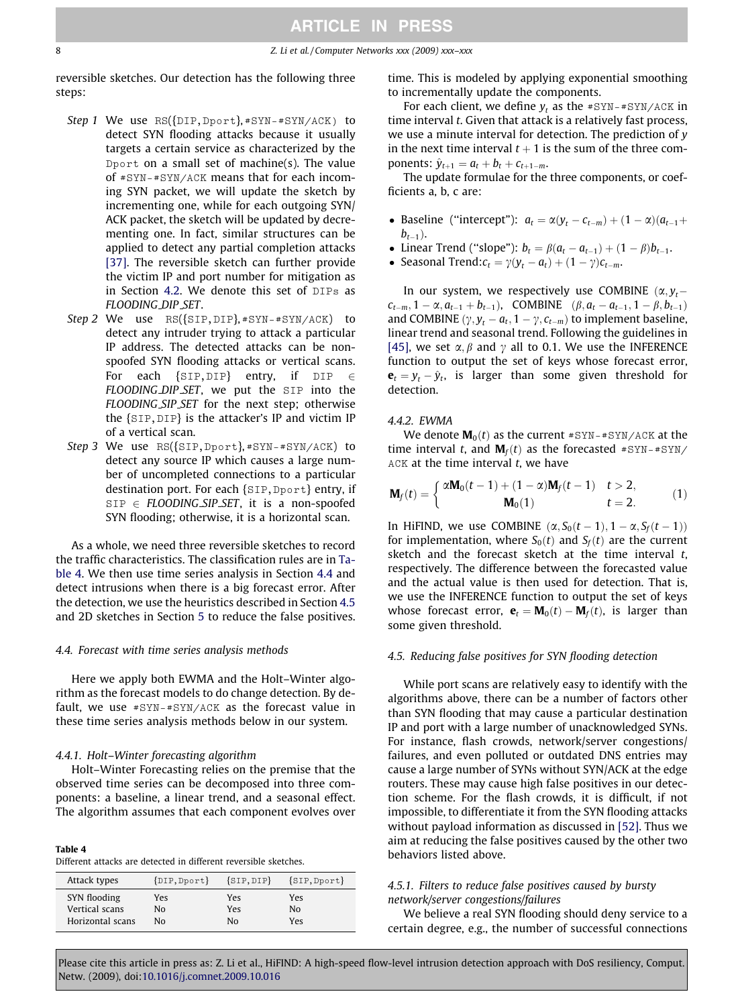reversible sketches. Our detection has the following three steps:

- Step 1 We use RS({DIP,Dport},#SYN-#SYN/ACK) to detect SYN flooding attacks because it usually targets a certain service as characterized by the Dport on a small set of machine(s). The value of #SYN-#SYN/ACK means that for each incoming SYN packet, we will update the sketch by incrementing one, while for each outgoing SYN/ ACK packet, the sketch will be updated by decrementing one. In fact, similar structures can be applied to detect any partial completion attacks [\[37\]](#page-16-0). The reversible sketch can further provide the victim IP and port number for mitigation as in Section 4.2. We denote this set of DIPs as FLOODING DIP SET.
- Step 2 We use RS({SIP,DIP},#SYN-#SYN/ACK) to detect any intruder trying to attack a particular IP address. The detected attacks can be nonspoofed SYN flooding attacks or vertical scans. For each  $\{SIP, DIP\}$  entry, if  $DIP \in$ FLOODING DIP SET, we put the SIP into the FLOODING SIP SET for the next step; otherwise the {SIP,DIP} is the attacker's IP and victim IP of a vertical scan.
- Step 3 We use RS({SIP,Dport},#SYN-#SYN/ACK) to detect any source IP which causes a large number of uncompleted connections to a particular destination port. For each {SIP, Dport} entry, if  $SIP \in FLOODING_SIP_SET$ , it is a non-spoofed SYN flooding; otherwise, it is a horizontal scan.

As a whole, we need three reversible sketches to record the traffic characteristics. The classification rules are in Table 4. We then use time series analysis in Section 4.4 and detect intrusions when there is a big forecast error. After the detection, we use the heuristics described in Section 4.5 and 2D sketches in Section 5 to reduce the false positives.

### 4.4. Forecast with time series analysis methods

Here we apply both EWMA and the Holt–Winter algorithm as the forecast models to do change detection. By default, we use #SYN-#SYN/ACK as the forecast value in these time series analysis methods below in our system.

### 4.4.1. Holt–Winter forecasting algorithm

Holt–Winter Forecasting relies on the premise that the observed time series can be decomposed into three components: a baseline, a linear trend, and a seasonal effect. The algorithm assumes that each component evolves over

### Table 4

Different attacks are detected in different reversible sketches.

| Attack types     | $\{DIP,Dport\}$ | ${SIP, DIP}$ | $\{SIP, \text{Dport}\}$ |
|------------------|-----------------|--------------|-------------------------|
| SYN flooding     | Yes             | Yes          | Yes                     |
| Vertical scans   | No              | Yes          | No                      |
| Horizontal scans | N٥              | Nο           | Yes                     |

time. This is modeled by applying exponential smoothing to incrementally update the components.

For each client, we define  $y_t$  as the  $*$ SYN- $*$ SYN/ACK in time interval *t*. Given that attack is a relatively fast process, we use a minute interval for detection. The prediction of y in the next time interval  $t + 1$  is the sum of the three components:  $\hat{y}_{t+1} = a_t + b_t + c_{t+1-m}$ .

The update formulae for the three components, or coefficients a, b, c are:

- Baseline ("intercept"):  $a_t = \alpha(y_t c_{t-m}) + (1 \alpha)(a_{t-1} + \alpha)$  $b_{t-1}$ ).
- Linear Trend ("slope"):  $b_t = \beta(a_t a_{t-1}) + (1 \beta)b_{t-1}.$
- Seasonal Trend: $c_t = \gamma(y_t a_t) + (1 \gamma)c_{t-m}$ .

In our system, we respectively use COMBINE  $(\alpha, y_t$  $c_{t-m}, 1 - \alpha, a_{t-1} + b_{t-1}),$  COMBINE  $(\beta, a_t - a_{t-1}, 1 - \beta, b_{t-1})$ and COMBINE  $(\gamma, y_t - a_t, 1 - \gamma, c_{t-m})$  to implement baseline, linear trend and seasonal trend. Following the guidelines in [\[45\],](#page-16-0) we set  $\alpha$ ,  $\beta$  and  $\gamma$  all to 0.1. We use the INFERENCE function to output the set of keys whose forecast error,  ${\bf e}_t = v_t - \hat{v}_t$ , is larger than some given threshold for detection.

## 4.4.2. EWMA

We denote  $\mathbf{M}_0(t)$  as the current #SYN-#SYN/ACK at the time interval t, and  $M_f(t)$  as the forecasted #SYN-#SYN/  $ACK$  at the time interval t, we have

$$
\mathbf{M}_f(t) = \begin{cases} \alpha \mathbf{M}_0(t-1) + (1-\alpha) \mathbf{M}_f(t-1) & t > 2, \\ \mathbf{M}_0(1) & t = 2. \end{cases} \tag{1}
$$

In HiFIND, we use COMBINE  $(\alpha, S_0(t-1), 1-\alpha, S_f(t-1))$ for implementation, where  $S_0(t)$  and  $S_f(t)$  are the current sketch and the forecast sketch at the time interval  $t$ , respectively. The difference between the forecasted value and the actual value is then used for detection. That is, we use the INFERENCE function to output the set of keys whose forecast error,  $\mathbf{e}_t = \mathbf{M}_0(t) - \mathbf{M}_f(t)$ , is larger than some given threshold.

### 4.5. Reducing false positives for SYN flooding detection

While port scans are relatively easy to identify with the algorithms above, there can be a number of factors other than SYN flooding that may cause a particular destination IP and port with a large number of unacknowledged SYNs. For instance, flash crowds, network/server congestions/ failures, and even polluted or outdated DNS entries may cause a large number of SYNs without SYN/ACK at the edge routers. These may cause high false positives in our detection scheme. For the flash crowds, it is difficult, if not impossible, to differentiate it from the SYN flooding attacks without payload information as discussed in [\[52\].](#page-17-0) Thus we aim at reducing the false positives caused by the other two behaviors listed above.

## 4.5.1. Filters to reduce false positives caused by bursty network/server congestions/failures

We believe a real SYN flooding should deny service to a certain degree, e.g., the number of successful connections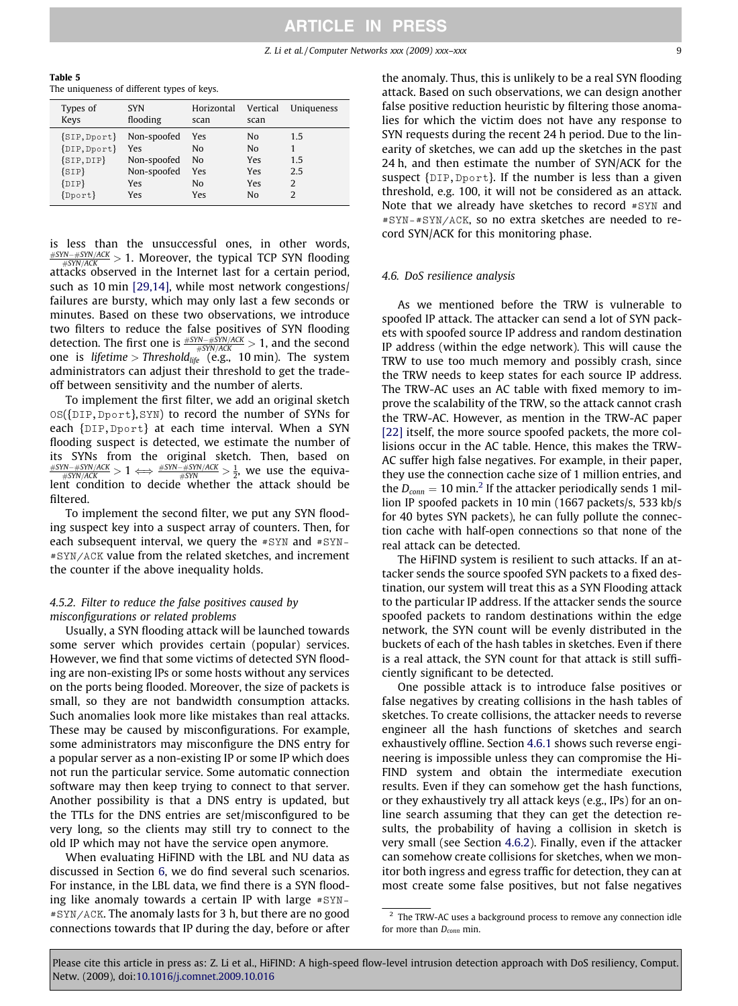<span id="page-8-0"></span>Table 5

The uniqueness of different types of keys.

| Types of                                                                         | <b>SYN</b>                                                     | Horizontal                                                              | Vertical                                                                | Uniqueness             |
|----------------------------------------------------------------------------------|----------------------------------------------------------------|-------------------------------------------------------------------------|-------------------------------------------------------------------------|------------------------|
| Keys                                                                             | flooding                                                       | scan                                                                    | scan                                                                    |                        |
| {SIP, Dport}<br>{DIP, Dport}<br>${SIP.DIP}$<br>$\{SIP\}$<br>$\{DIP\}$<br>{Dport} | Non-spoofed<br>Yes<br>Non-spoofed<br>Non-spoofed<br>Yes<br>Yes | Yes<br>N <sub>0</sub><br>N <sub>0</sub><br>Yes<br>N <sub>0</sub><br>Yes | N <sub>0</sub><br>N <sub>0</sub><br>Yes<br>Yes<br>Yes<br>N <sub>0</sub> | 1.5<br>1.5<br>2.5<br>2 |

is less than the unsuccessful ones, in other words,  $\frac{\#SYN-\#SYN/ACK}{\#SYN/ACK} > 1$ . Moreover, the typical TCP SYN flooding attacks observed in the Internet last for a certain period, such as 10 min [\[29,14\],](#page-16-0) while most network congestions/ failures are bursty, which may only last a few seconds or minutes. Based on these two observations, we introduce two filters to reduce the false positives of SYN flooding detection. The first one is  $\frac{\#SYN-\#SYN/ACK}{\#SYN/ACK} > 1$ , and the second one is lifetime > Threshold $_{life}$  (e.g., 10 min). The system administrators can adjust their threshold to get the tradeoff between sensitivity and the number of alerts.

To implement the first filter, we add an original sketch OS({DIP,Dport},SYN) to record the number of SYNs for each {DIP,Dport} at each time interval. When a SYN flooding suspect is detected, we estimate the number of its SYNs from the original sketch. Then, based on  $\frac{\#SYN-\#SYN/ACK}{\#SYN/ACK} > 1 \iff \frac{\#SYN-\#SYN/ACK}{\#SYN} > \frac{1}{2}$ , we use the equivalent condition to decide whether the attack should be filtered.

To implement the second filter, we put any SYN flooding suspect key into a suspect array of counters. Then, for each subsequent interval, we query the  $*$ SYN and  $*$ SYN-#SYN/ACK value from the related sketches, and increment the counter if the above inequality holds.

### 4.5.2. Filter to reduce the false positives caused by misconfigurations or related problems

Usually, a SYN flooding attack will be launched towards some server which provides certain (popular) services. However, we find that some victims of detected SYN flooding are non-existing IPs or some hosts without any services on the ports being flooded. Moreover, the size of packets is small, so they are not bandwidth consumption attacks. Such anomalies look more like mistakes than real attacks. These may be caused by misconfigurations. For example, some administrators may misconfigure the DNS entry for a popular server as a non-existing IP or some IP which does not run the particular service. Some automatic connection software may then keep trying to connect to that server. Another possibility is that a DNS entry is updated, but the TTLs for the DNS entries are set/misconfigured to be very long, so the clients may still try to connect to the old IP which may not have the service open anymore.

When evaluating HiFIND with the LBL and NU data as discussed in Section 6, we do find several such scenarios. For instance, in the LBL data, we find there is a SYN flooding like anomaly towards a certain IP with large #SYN- #SYN/ACK. The anomaly lasts for 3 h, but there are no good connections towards that IP during the day, before or after

the anomaly. Thus, this is unlikely to be a real SYN flooding attack. Based on such observations, we can design another false positive reduction heuristic by filtering those anomalies for which the victim does not have any response to SYN requests during the recent 24 h period. Due to the linearity of sketches, we can add up the sketches in the past 24 h, and then estimate the number of SYN/ACK for the suspect {DIP,Dport}. If the number is less than a given threshold, e.g. 100, it will not be considered as an attack. Note that we already have sketches to record #SYN and #SYN-#SYN/ACK, so no extra sketches are needed to record SYN/ACK for this monitoring phase.

### 4.6. DoS resilience analysis

As we mentioned before the TRW is vulnerable to spoofed IP attack. The attacker can send a lot of SYN packets with spoofed source IP address and random destination IP address (within the edge network). This will cause the TRW to use too much memory and possibly crash, since the TRW needs to keep states for each source IP address. The TRW-AC uses an AC table with fixed memory to improve the scalability of the TRW, so the attack cannot crash the TRW-AC. However, as mention in the TRW-AC paper [\[22\]](#page-16-0) itself, the more source spoofed packets, the more collisions occur in the AC table. Hence, this makes the TRW-AC suffer high false negatives. For example, in their paper, they use the connection cache size of 1 million entries, and the  $D_{conn} = 10 \text{ min.}^2$  If the attacker periodically sends 1 million IP spoofed packets in 10 min (1667 packets/s, 533 kb/s for 40 bytes SYN packets), he can fully pollute the connection cache with half-open connections so that none of the real attack can be detected.

The HiFIND system is resilient to such attacks. If an attacker sends the source spoofed SYN packets to a fixed destination, our system will treat this as a SYN Flooding attack to the particular IP address. If the attacker sends the source spoofed packets to random destinations within the edge network, the SYN count will be evenly distributed in the buckets of each of the hash tables in sketches. Even if there is a real attack, the SYN count for that attack is still sufficiently significant to be detected.

One possible attack is to introduce false positives or false negatives by creating collisions in the hash tables of sketches. To create collisions, the attacker needs to reverse engineer all the hash functions of sketches and search exhaustively offline. Section 4.6.1 shows such reverse engineering is impossible unless they can compromise the Hi-FIND system and obtain the intermediate execution results. Even if they can somehow get the hash functions, or they exhaustively try all attack keys (e.g., IPs) for an online search assuming that they can get the detection results, the probability of having a collision in sketch is very small (see Section 4.6.2). Finally, even if the attacker can somehow create collisions for sketches, when we monitor both ingress and egress traffic for detection, they can at most create some false positives, but not false negatives

 $2$  The TRW-AC uses a background process to remove any connection idle for more than  $D_{conn}$  min.

Please cite this article in press as: Z. Li et al., HiFIND: A high-speed flow-level intrusion detection approach with DoS resiliency, Comput. Netw. (2009), doi:[10.1016/j.comnet.2009.10.016](http://dx.doi.org/10.1016/j.comnet.2009.10.016)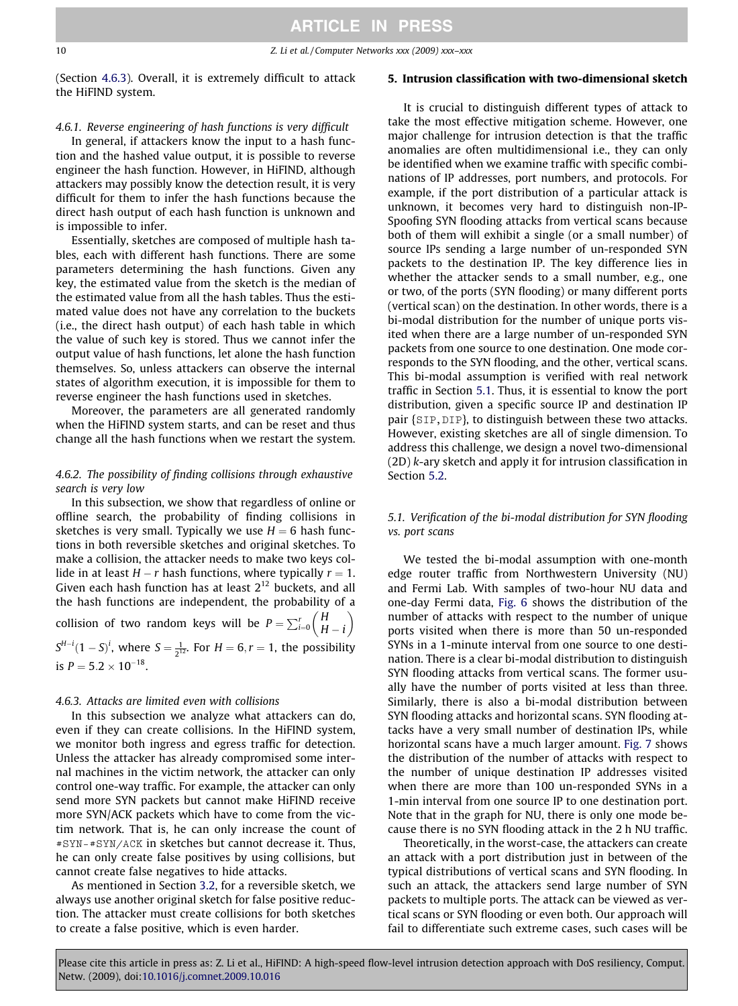(Section 4.6.3). Overall, it is extremely difficult to attack the HiFIND system.

## 4.6.1. Reverse engineering of hash functions is very difficult

In general, if attackers know the input to a hash function and the hashed value output, it is possible to reverse engineer the hash function. However, in HiFIND, although attackers may possibly know the detection result, it is very difficult for them to infer the hash functions because the direct hash output of each hash function is unknown and is impossible to infer.

Essentially, sketches are composed of multiple hash tables, each with different hash functions. There are some parameters determining the hash functions. Given any key, the estimated value from the sketch is the median of the estimated value from all the hash tables. Thus the estimated value does not have any correlation to the buckets (i.e., the direct hash output) of each hash table in which the value of such key is stored. Thus we cannot infer the output value of hash functions, let alone the hash function themselves. So, unless attackers can observe the internal states of algorithm execution, it is impossible for them to reverse engineer the hash functions used in sketches.

Moreover, the parameters are all generated randomly when the HiFIND system starts, and can be reset and thus change all the hash functions when we restart the system.

## 4.6.2. The possibility of finding collisions through exhaustive search is very low

In this subsection, we show that regardless of online or offline search, the probability of finding collisions in sketches is very small. Typically we use  $H = 6$  hash functions in both reversible sketches and original sketches. To make a collision, the attacker needs to make two keys collide in at least  $H - r$  hash functions, where typically  $r = 1$ . Given each hash function has at least  $2^{12}$  buckets, and all the hash functions are independent, the probability of a collision of two random keys will be  $P = \sum_{i=0}^r \binom{H}{H}$  $H - i$  $\sqrt{H}$   $\sqrt{2}$  $S^{H-i}(1-S)^i$ , where  $S = \frac{1}{2^{12}}$ . For  $H = 6, r = 1$ , the possibility is  $P = 5.2 \times 10^{-18}$ .

### 4.6.3. Attacks are limited even with collisions

In this subsection we analyze what attackers can do, even if they can create collisions. In the HiFIND system, we monitor both ingress and egress traffic for detection. Unless the attacker has already compromised some internal machines in the victim network, the attacker can only control one-way traffic. For example, the attacker can only send more SYN packets but cannot make HiFIND receive more SYN/ACK packets which have to come from the victim network. That is, he can only increase the count of #SYN-#SYN/ACK in sketches but cannot decrease it. Thus, he can only create false positives by using collisions, but cannot create false negatives to hide attacks.

As mentioned in Section 3.2, for a reversible sketch, we always use another original sketch for false positive reduction. The attacker must create collisions for both sketches to create a false positive, which is even harder.

### 5. Intrusion classification with two-dimensional sketch

It is crucial to distinguish different types of attack to take the most effective mitigation scheme. However, one major challenge for intrusion detection is that the traffic anomalies are often multidimensional i.e., they can only be identified when we examine traffic with specific combinations of IP addresses, port numbers, and protocols. For example, if the port distribution of a particular attack is unknown, it becomes very hard to distinguish non-IP-Spoofing SYN flooding attacks from vertical scans because both of them will exhibit a single (or a small number) of source IPs sending a large number of un-responded SYN packets to the destination IP. The key difference lies in whether the attacker sends to a small number, e.g., one or two, of the ports (SYN flooding) or many different ports (vertical scan) on the destination. In other words, there is a bi-modal distribution for the number of unique ports visited when there are a large number of un-responded SYN packets from one source to one destination. One mode corresponds to the SYN flooding, and the other, vertical scans. This bi-modal assumption is verified with real network traffic in Section 5.1. Thus, it is essential to know the port distribution, given a specific source IP and destination IP pair {SIP,DIP}, to distinguish between these two attacks. However, existing sketches are all of single dimension. To address this challenge, we design a novel two-dimensional (2D) k-ary sketch and apply it for intrusion classification in Section 5.2.

## 5.1. Verification of the bi-modal distribution for SYN flooding vs. port scans

We tested the bi-modal assumption with one-month edge router traffic from Northwestern University (NU) and Fermi Lab. With samples of two-hour NU data and one-day Fermi data, [Fig. 6](#page-10-0) shows the distribution of the number of attacks with respect to the number of unique ports visited when there is more than 50 un-responded SYNs in a 1-minute interval from one source to one destination. There is a clear bi-modal distribution to distinguish SYN flooding attacks from vertical scans. The former usually have the number of ports visited at less than three. Similarly, there is also a bi-modal distribution between SYN flooding attacks and horizontal scans. SYN flooding attacks have a very small number of destination IPs, while horizontal scans have a much larger amount. [Fig. 7](#page-10-0) shows the distribution of the number of attacks with respect to the number of unique destination IP addresses visited when there are more than 100 un-responded SYNs in a 1-min interval from one source IP to one destination port. Note that in the graph for NU, there is only one mode because there is no SYN flooding attack in the 2 h NU traffic.

Theoretically, in the worst-case, the attackers can create an attack with a port distribution just in between of the typical distributions of vertical scans and SYN flooding. In such an attack, the attackers send large number of SYN packets to multiple ports. The attack can be viewed as vertical scans or SYN flooding or even both. Our approach will fail to differentiate such extreme cases, such cases will be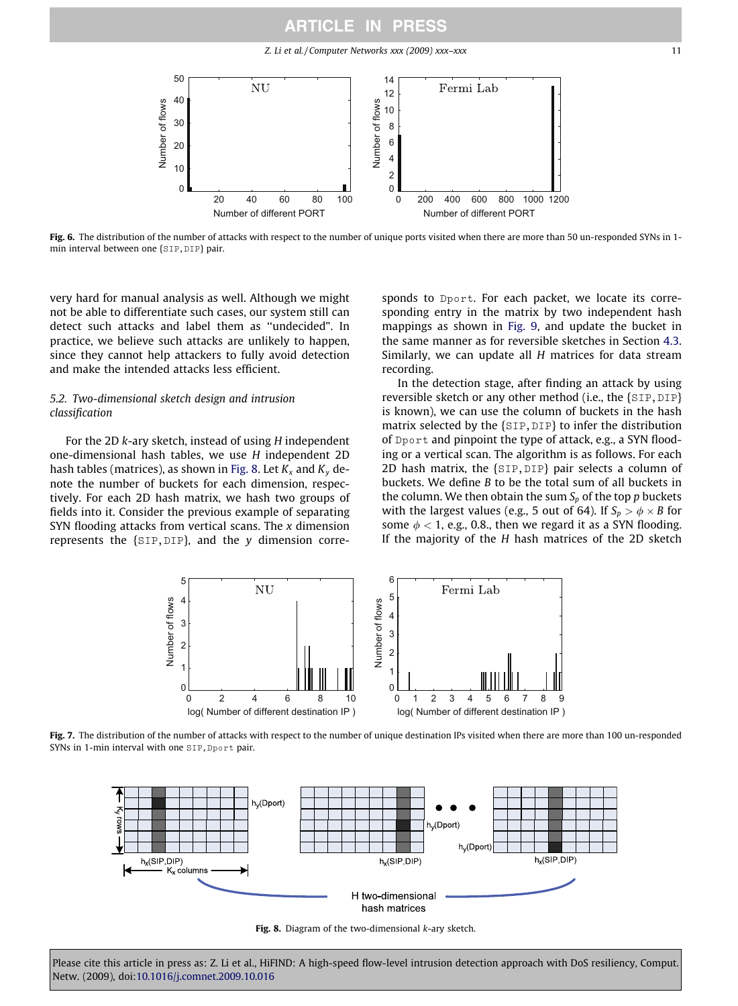<span id="page-10-0"></span>

Fig. 6. The distribution of the number of attacks with respect to the number of unique ports visited when there are more than 50 un-responded SYNs in 1min interval between one {SIP, DIP} pair.

very hard for manual analysis as well. Although we might not be able to differentiate such cases, our system still can detect such attacks and label them as ''undecided". In practice, we believe such attacks are unlikely to happen, since they cannot help attackers to fully avoid detection and make the intended attacks less efficient.

## 5.2. Two-dimensional sketch design and intrusion classification

For the 2D  $k$ -ary sketch, instead of using  $H$  independent one-dimensional hash tables, we use H independent 2D hash tables (matrices), as shown in Fig. 8. Let  $K<sub>x</sub>$  and  $K<sub>y</sub>$  denote the number of buckets for each dimension, respectively. For each 2D hash matrix, we hash two groups of fields into it. Consider the previous example of separating SYN flooding attacks from vertical scans. The x dimension represents the  $\{SIP, DIP\}$ , and the y dimension corresponds to Dport. For each packet, we locate its corresponding entry in the matrix by two independent hash mappings as shown in [Fig. 9,](#page-11-0) and update the bucket in the same manner as for reversible sketches in Section 4.3. Similarly, we can update all H matrices for data stream recording.

In the detection stage, after finding an attack by using reversible sketch or any other method (i.e., the {SIP, DIP} is known), we can use the column of buckets in the hash matrix selected by the {SIP,DIP} to infer the distribution of Dport and pinpoint the type of attack, e.g., a SYN flooding or a vertical scan. The algorithm is as follows. For each 2D hash matrix, the {SIP,DIP} pair selects a column of buckets. We define B to be the total sum of all buckets in the column. We then obtain the sum  $S_p$  of the top p buckets with the largest values (e.g., 5 out of 64). If  $S_p > \phi \times B$  for some  $\phi$  < 1, e.g., 0.8., then we regard it as a SYN flooding. If the majority of the H hash matrices of the 2D sketch



Fig. 7. The distribution of the number of attacks with respect to the number of unique destination IPs visited when there are more than 100 un-responded SYNs in 1-min interval with one SIP, Dport pair.



Fig. 8. Diagram of the two-dimensional  $k$ -ary sketch.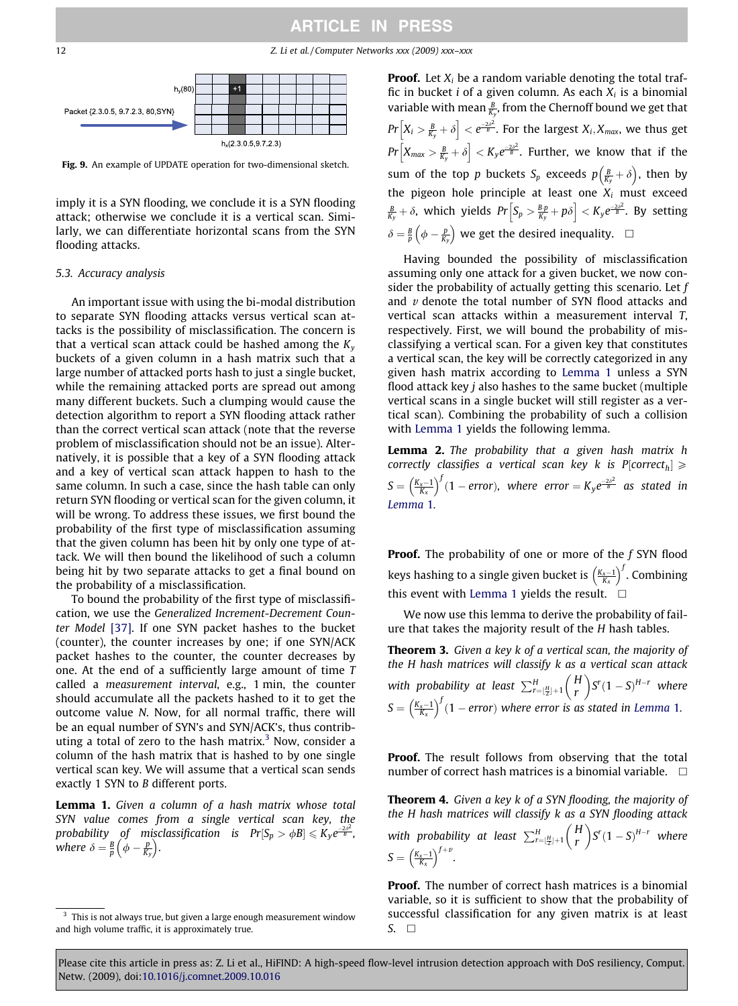<span id="page-11-0"></span>12 Z. Li et al. / Computer Networks xxx (2009) xxx–xxx



Fig. 9. An example of UPDATE operation for two-dimensional sketch.

imply it is a SYN flooding, we conclude it is a SYN flooding attack; otherwise we conclude it is a vertical scan. Similarly, we can differentiate horizontal scans from the SYN flooding attacks.

#### 5.3. Accuracy analysis

An important issue with using the bi-modal distribution to separate SYN flooding attacks versus vertical scan attacks is the possibility of misclassification. The concern is that a vertical scan attack could be hashed among the  $K_v$ buckets of a given column in a hash matrix such that a large number of attacked ports hash to just a single bucket, while the remaining attacked ports are spread out among many different buckets. Such a clumping would cause the detection algorithm to report a SYN flooding attack rather than the correct vertical scan attack (note that the reverse problem of misclassification should not be an issue). Alternatively, it is possible that a key of a SYN flooding attack and a key of vertical scan attack happen to hash to the same column. In such a case, since the hash table can only return SYN flooding or vertical scan for the given column, it will be wrong. To address these issues, we first bound the probability of the first type of misclassification assuming that the given column has been hit by only one type of attack. We will then bound the likelihood of such a column being hit by two separate attacks to get a final bound on the probability of a misclassification.

To bound the probability of the first type of misclassification, we use the Generalized Increment-Decrement Counter Model [\[37\]](#page-16-0). If one SYN packet hashes to the bucket (counter), the counter increases by one; if one SYN/ACK packet hashes to the counter, the counter decreases by one. At the end of a sufficiently large amount of time T called a measurement interval, e.g., 1 min, the counter should accumulate all the packets hashed to it to get the outcome value N. Now, for all normal traffic, there will be an equal number of SYN's and SYN/ACK's, thus contributing a total of zero to the hash matrix.<sup>3</sup> Now, consider a column of the hash matrix that is hashed to by one single vertical scan key. We will assume that a vertical scan sends exactly 1 SYN to B different ports.

Lemma 1. Given a column of a hash matrix whose total SYN value comes from a single vertical scan key, the probability of misclassification is  $Pr[S_p > \phi B] \leqslant K_y e^{\frac{-2\delta^2}{B}}$ , probability by mist<br>where  $\delta = \frac{B}{p} \left( \phi - \frac{p}{K_y} \right)$ .

**Proof.** Let  $X_i$  be a random variable denoting the total traffic in bucket *i* of a given column. As each  $X_i$  is a binomial variable with mean  $\frac{B}{K_y}$ , from the Chernoff bound we get that  $Pr\left[X_i > \frac{B}{K_y} + \delta\right] < e^{\frac{-2\delta^2}{B}}$ . For the largest  $X_i, X_{max}$ , we thus get  $Pr\left[X_{max} > \frac{B}{K_y} + \delta\right] < K_ye^{\frac{-2\delta^2}{B}}$ . Further, we know that if the sum of the top p buckets  $S_p$  exceeds  $p\left(\frac{B}{K_y} + \delta\right)$ , then by the pigeon hole principle at least one  $X_i$  must exceed  $\frac{B}{K_y} + \delta$ , which yields  $Pr\left[S_p > \frac{B_p}{K_y} + p\delta\right] < K_y e^{\frac{-2\delta^2}{B}}$ . By setting  $\delta = \frac{B}{p} \left( \phi - \frac{p}{K_y} \right)$  we get the desired inequality.  $\Box$ 

Having bounded the possibility of misclassification assuming only one attack for a given bucket, we now consider the probability of actually getting this scenario. Let  $f$ and  $\nu$  denote the total number of SYN flood attacks and vertical scan attacks within a measurement interval T, respectively. First, we will bound the probability of misclassifying a vertical scan. For a given key that constitutes a vertical scan, the key will be correctly categorized in any given hash matrix according to Lemma 1 unless a SYN flood attack key j also hashes to the same bucket (multiple vertical scans in a single bucket will still register as a vertical scan). Combining the probability of such a collision with Lemma 1 yields the following lemma.

Lemma 2. The probability that a given hash matrix h correctly classifies a vertical scan key k is  $P[correct_h] \ge$  $S = \left(\frac{K_x - 1}{K_x}\right)$  $\left(\frac{K_{\rm x}-1}{K_{\rm x}}\right)^f$  (1 – error), where error =  $K_{\rm y}e^{-\frac{2\beta^2}{B}}$  as stated in Lemma 1.

**Proof.** The probability of one or more of the  $f$  SYN flood keys hashing to a single given bucket is  $\left(\frac{K_x-1}{K_x}\right)$  $\left(\frac{K_x-1}{K_x}\right)^f$ . Combining this event with Lemma 1 yields the result.  $\square$ 

We now use this lemma to derive the probability of failure that takes the majority result of the H hash tables.

Theorem 3. Given a key k of a vertical scan, the majority of the H hash matrices will classify k as a vertical scan attack with probability at least  $\sum_{r=\lfloor\frac{H}{2}\rfloor+1}^{H}$ H  $\binom{H}{r} S^r (1-S)^{H-r}$  where  $S = \left(\frac{K_x - 1}{K_x}\right)$  $\left(\frac{K_x-1}{K_x}\right)^f$  (1 – error) where error is as stated in Lemma 1.

Proof. The result follows from observing that the total number of correct hash matrices is a binomial variable.  $\Box$ 

Theorem 4. Given a key k of a SYN flooding, the majority of the H hash matrices will classify k as a SYN flooding attack with probability at least  $\sum_{r=\lfloor\frac{H}{2}\rfloor+1}^{H}$ H r  $\binom{H}{r} S^r (1-S)^{H-r}$  where  $S = \left(\frac{K_x - 1}{K_x}\right)$  $\left(\frac{K_{x}-1}{K}\right)^{f+v}$ .

Proof. The number of correct hash matrices is a binomial variable, so it is sufficient to show that the probability of successful classification for any given matrix is at least  $S. \square$ 

 $3$  This is not always true, but given a large enough measurement window and high volume traffic, it is approximately true.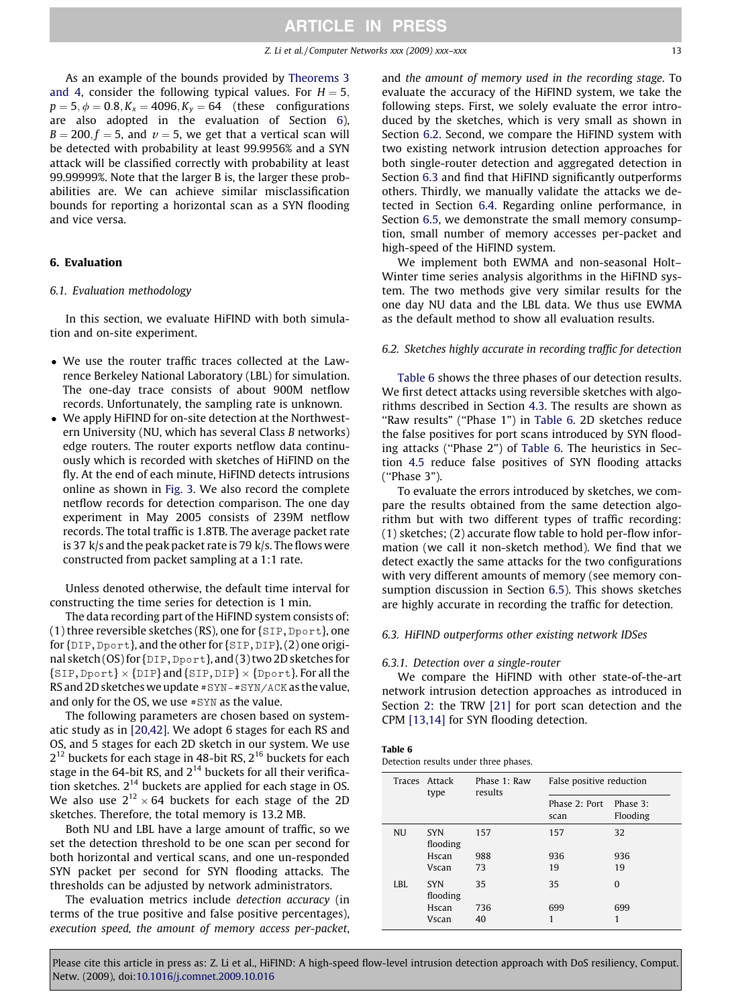As an example of the bounds provided by [Theorems 3](#page-11-0) [and 4,](#page-11-0) consider the following typical values. For  $H = 5$ ,  $p = 5, \phi = 0.8, K_x = 4096, K_y = 64$  (these configurations are also adopted in the evaluation of Section 6),  $B = 200, f = 5$ , and  $v = 5$ , we get that a vertical scan will be detected with probability at least 99.9956% and a SYN attack will be classified correctly with probability at least 99.99999%. Note that the larger B is, the larger these probabilities are. We can achieve similar misclassification bounds for reporting a horizontal scan as a SYN flooding and vice versa.

### 6. Evaluation

### 6.1. Evaluation methodology

In this section, we evaluate HiFIND with both simulation and on-site experiment.

- We use the router traffic traces collected at the Lawrence Berkeley National Laboratory (LBL) for simulation. The one-day trace consists of about 900M netflow records. Unfortunately, the sampling rate is unknown.
- We apply HiFIND for on-site detection at the Northwestern University (NU, which has several Class B networks) edge routers. The router exports netflow data continuously which is recorded with sketches of HiFIND on the fly. At the end of each minute, HiFIND detects intrusions online as shown in [Fig. 3.](#page-5-0) We also record the complete netflow records for detection comparison. The one day experiment in May 2005 consists of 239M netflow records. The total traffic is 1.8TB. The average packet rate is 37 k/s and the peak packet rate is 79 k/s. The flows were constructed from packet sampling at a 1:1 rate.

Unless denoted otherwise, the default time interval for constructing the time series for detection is 1 min.

The data recording part of the HiFIND system consists of: (1) three reversible sketches (RS), one for  $\{SIP, \text{Dport}\}$ , one for {DIP,Dport}, and the other for {SIP,DIP}, (2) one original sketch (OS) for {DIP,Dport}, and (3) two 2D sketches for  ${SIP, \text{Dport}} \times {DIP}$  and  ${SIP, \text{DIP}} \times {Dport}$ . For all the RS and 2D sketches we update #SYN-#SYN/ACK as the value, and only for the OS, we use #SYN as the value.

The following parameters are chosen based on systematic study as in [\[20,42\]](#page-16-0). We adopt 6 stages for each RS and OS, and 5 stages for each 2D sketch in our system. We use  $2^{12}$  buckets for each stage in 48-bit RS,  $2^{16}$  buckets for each stage in the 64-bit RS, and  $2^{14}$  buckets for all their verification sketches.  $2^{14}$  buckets are applied for each stage in OS. We also use  $2^{12} \times 64$  buckets for each stage of the 2D sketches. Therefore, the total memory is 13.2 MB.

Both NU and LBL have a large amount of traffic, so we set the detection threshold to be one scan per second for both horizontal and vertical scans, and one un-responded SYN packet per second for SYN flooding attacks. The thresholds can be adjusted by network administrators.

The evaluation metrics include detection accuracy (in terms of the true positive and false positive percentages), execution speed, the amount of memory access per-packet, and the amount of memory used in the recording stage. To evaluate the accuracy of the HiFIND system, we take the following steps. First, we solely evaluate the error introduced by the sketches, which is very small as shown in Section 6.2. Second, we compare the HiFIND system with two existing network intrusion detection approaches for both single-router detection and aggregated detection in Section 6.3 and find that HiFIND significantly outperforms others. Thirdly, we manually validate the attacks we detected in Section 6.4. Regarding online performance, in Section 6.5, we demonstrate the small memory consumption, small number of memory accesses per-packet and high-speed of the HiFIND system.

We implement both EWMA and non-seasonal Holt– Winter time series analysis algorithms in the HiFIND system. The two methods give very similar results for the one day NU data and the LBL data. We thus use EWMA as the default method to show all evaluation results.

## 6.2. Sketches highly accurate in recording traffic for detection

Table 6 shows the three phases of our detection results. We first detect attacks using reversible sketches with algorithms described in Section 4.3. The results are shown as "Raw results" ("Phase 1") in Table 6. 2D sketches reduce the false positives for port scans introduced by SYN flooding attacks (''Phase 2") of Table 6. The heuristics in Section 4.5 reduce false positives of SYN flooding attacks (''Phase 3").

To evaluate the errors introduced by sketches, we compare the results obtained from the same detection algorithm but with two different types of traffic recording: (1) sketches; (2) accurate flow table to hold per-flow information (we call it non-sketch method). We find that we detect exactly the same attacks for the two configurations with very different amounts of memory (see memory consumption discussion in Section 6.5). This shows sketches are highly accurate in recording the traffic for detection.

## 6.3. HiFIND outperforms other existing network IDSes

#### 6.3.1. Detection over a single-router

We compare the HiFIND with other state-of-the-art network intrusion detection approaches as introduced in Section 2: the TRW [\[21\]](#page-16-0) for port scan detection and the CPM [\[13,14\]](#page-16-0) for SYN flooding detection.

### Table 6

| Detection results under three phases. |  |  |  |
|---------------------------------------|--|--|--|
|---------------------------------------|--|--|--|

| Traces Attack<br>type |                        | Phase 1: Raw<br>results | False positive reduction |                      |
|-----------------------|------------------------|-------------------------|--------------------------|----------------------|
|                       |                        |                         | Phase 2: Port<br>scan    | Phase 3:<br>Flooding |
| <b>NU</b>             | <b>SYN</b><br>flooding | 157                     | 157                      | 32                   |
|                       | Hscan                  | 988                     | 936                      | 936                  |
|                       | <b>Vscan</b>           | 73                      | 19                       | 19                   |
| LBL.                  | <b>SYN</b><br>flooding | 35                      | 35                       | $\Omega$             |
|                       | Hscan                  | 736                     | 699                      | 699                  |
|                       | <b>Vscan</b>           | 40                      | 1                        | 1                    |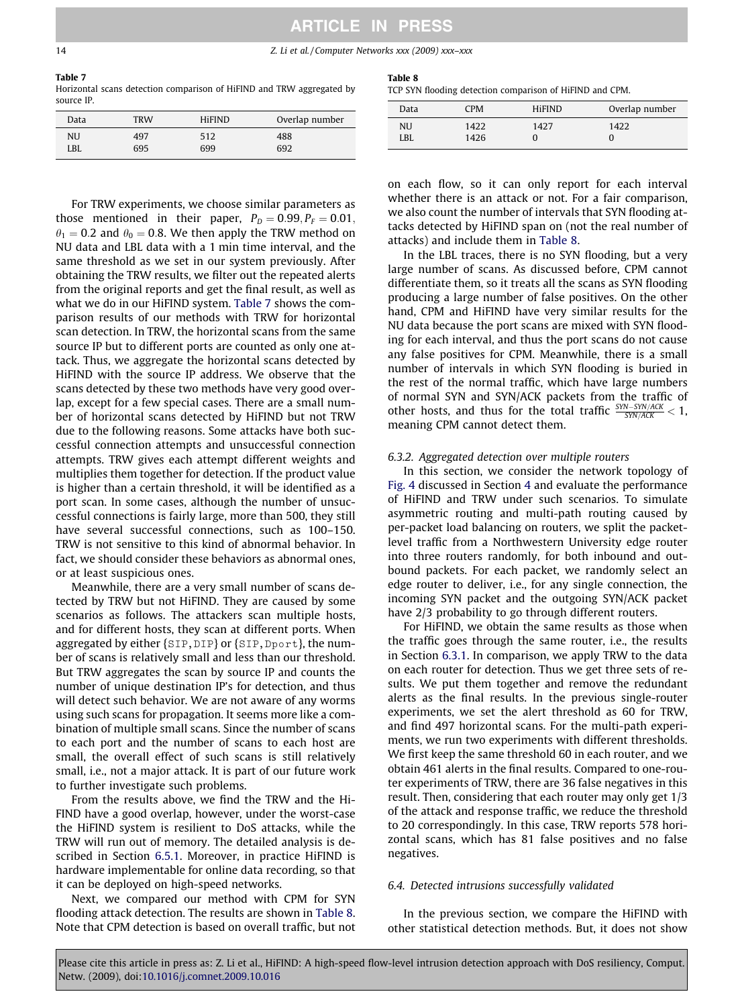Table 7 Horizontal scans detection comparison of HiFIND and TRW aggregated by source IP.

| Data | <b>TRW</b> | <b>HiFIND</b> | Overlap number |
|------|------------|---------------|----------------|
| NU   | 497        | 512           | 488            |
| LBI. | 695        | 699           | 692            |

For TRW experiments, we choose similar parameters as those mentioned in their paper,  $P_D = 0.99, P_F = 0.01$ ,  $\theta_1 = 0.2$  and  $\theta_0 = 0.8$ . We then apply the TRW method on NU data and LBL data with a 1 min time interval, and the same threshold as we set in our system previously. After obtaining the TRW results, we filter out the repeated alerts from the original reports and get the final result, as well as what we do in our HiFIND system. Table 7 shows the comparison results of our methods with TRW for horizontal scan detection. In TRW, the horizontal scans from the same source IP but to different ports are counted as only one attack. Thus, we aggregate the horizontal scans detected by HiFIND with the source IP address. We observe that the scans detected by these two methods have very good overlap, except for a few special cases. There are a small number of horizontal scans detected by HiFIND but not TRW due to the following reasons. Some attacks have both successful connection attempts and unsuccessful connection attempts. TRW gives each attempt different weights and multiplies them together for detection. If the product value is higher than a certain threshold, it will be identified as a port scan. In some cases, although the number of unsuccessful connections is fairly large, more than 500, they still have several successful connections, such as 100–150. TRW is not sensitive to this kind of abnormal behavior. In fact, we should consider these behaviors as abnormal ones, or at least suspicious ones.

Meanwhile, there are a very small number of scans detected by TRW but not HiFIND. They are caused by some scenarios as follows. The attackers scan multiple hosts, and for different hosts, they scan at different ports. When aggregated by either {SIP,DIP} or {SIP,Dport}, the number of scans is relatively small and less than our threshold. But TRW aggregates the scan by source IP and counts the number of unique destination IP's for detection, and thus will detect such behavior. We are not aware of any worms using such scans for propagation. It seems more like a combination of multiple small scans. Since the number of scans to each port and the number of scans to each host are small, the overall effect of such scans is still relatively small, i.e., not a major attack. It is part of our future work to further investigate such problems.

From the results above, we find the TRW and the Hi-FIND have a good overlap, however, under the worst-case the HiFIND system is resilient to DoS attacks, while the TRW will run out of memory. The detailed analysis is described in Section 6.5.1. Moreover, in practice HiFIND is hardware implementable for online data recording, so that it can be deployed on high-speed networks.

Next, we compared our method with CPM for SYN flooding attack detection. The results are shown in Table 8. Note that CPM detection is based on overall traffic, but not

TCP SYN flooding detection comparison of HiFIND and CPM.

| Data      | <b>CPM</b>   | <b>HiFIND</b> | Overlap number |
|-----------|--------------|---------------|----------------|
| NU<br>LBL | 1422<br>1426 | 1427          | 1422           |

on each flow, so it can only report for each interval whether there is an attack or not. For a fair comparison, we also count the number of intervals that SYN flooding attacks detected by HiFIND span on (not the real number of attacks) and include them in Table 8.

In the LBL traces, there is no SYN flooding, but a very large number of scans. As discussed before, CPM cannot differentiate them, so it treats all the scans as SYN flooding producing a large number of false positives. On the other hand, CPM and HiFIND have very similar results for the NU data because the port scans are mixed with SYN flooding for each interval, and thus the port scans do not cause any false positives for CPM. Meanwhile, there is a small number of intervals in which SYN flooding is buried in the rest of the normal traffic, which have large numbers of normal SYN and SYN/ACK packets from the traffic of other hosts, and thus for the total traffic  $\frac{SYN-SYN/ACK}{SYN/ACK}$  < 1, meaning CPM cannot detect them.

### 6.3.2. Aggregated detection over multiple routers

In this section, we consider the network topology of [Fig. 4](#page-6-0) discussed in Section 4 and evaluate the performance of HiFIND and TRW under such scenarios. To simulate asymmetric routing and multi-path routing caused by per-packet load balancing on routers, we split the packetlevel traffic from a Northwestern University edge router into three routers randomly, for both inbound and outbound packets. For each packet, we randomly select an edge router to deliver, i.e., for any single connection, the incoming SYN packet and the outgoing SYN/ACK packet have 2/3 probability to go through different routers.

For HiFIND, we obtain the same results as those when the traffic goes through the same router, i.e., the results in Section 6.3.1. In comparison, we apply TRW to the data on each router for detection. Thus we get three sets of results. We put them together and remove the redundant alerts as the final results. In the previous single-router experiments, we set the alert threshold as 60 for TRW, and find 497 horizontal scans. For the multi-path experiments, we run two experiments with different thresholds. We first keep the same threshold 60 in each router, and we obtain 461 alerts in the final results. Compared to one-router experiments of TRW, there are 36 false negatives in this result. Then, considering that each router may only get 1/3 of the attack and response traffic, we reduce the threshold to 20 correspondingly. In this case, TRW reports 578 horizontal scans, which has 81 false positives and no false negatives.

### 6.4. Detected intrusions successfully validated

In the previous section, we compare the HiFIND with other statistical detection methods. But, it does not show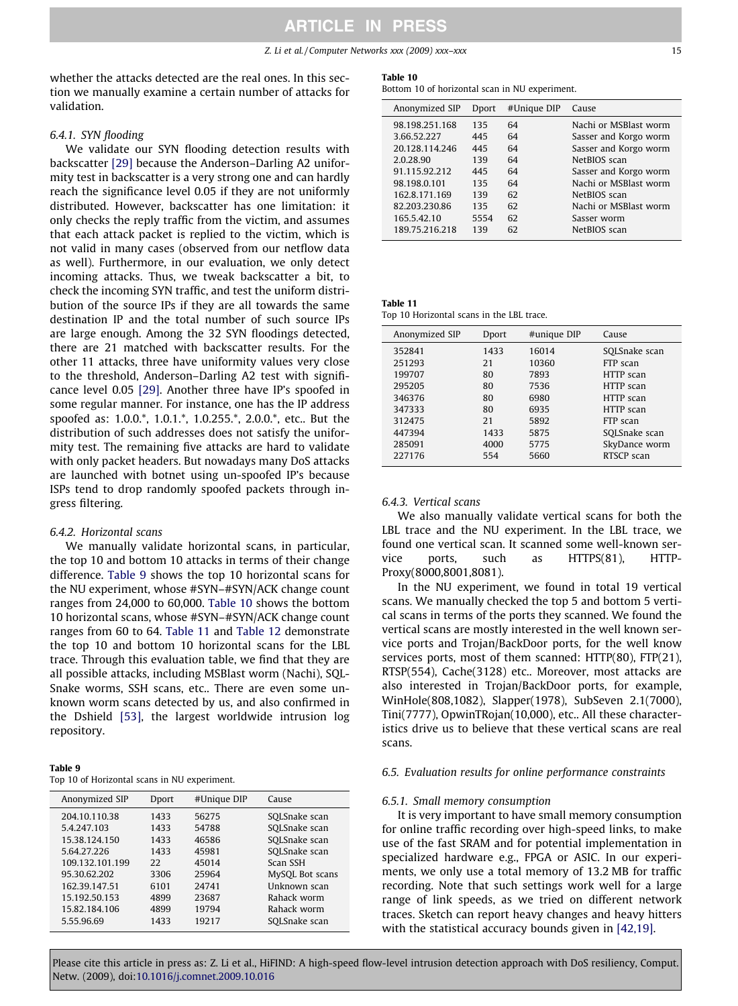whether the attacks detected are the real ones. In this section we manually examine a certain number of attacks for validation.

### 6.4.1. SYN flooding

We validate our SYN flooding detection results with backscatter [\[29\]](#page-16-0) because the Anderson–Darling A2 uniformity test in backscatter is a very strong one and can hardly reach the significance level 0.05 if they are not uniformly distributed. However, backscatter has one limitation: it only checks the reply traffic from the victim, and assumes that each attack packet is replied to the victim, which is not valid in many cases (observed from our netflow data as well). Furthermore, in our evaluation, we only detect incoming attacks. Thus, we tweak backscatter a bit, to check the incoming SYN traffic, and test the uniform distribution of the source IPs if they are all towards the same destination IP and the total number of such source IPs are large enough. Among the 32 SYN floodings detected, there are 21 matched with backscatter results. For the other 11 attacks, three have uniformity values very close to the threshold, Anderson–Darling A2 test with significance level 0.05 [\[29\].](#page-16-0) Another three have IP's spoofed in some regular manner. For instance, one has the IP address spoofed as: 1.0.0.\*, 1.0.1.\*, 1.0.255.\*, 2.0.0.\*, etc.. But the distribution of such addresses does not satisfy the uniformity test. The remaining five attacks are hard to validate with only packet headers. But nowadays many DoS attacks are launched with botnet using un-spoofed IP's because ISPs tend to drop randomly spoofed packets through ingress filtering.

#### 6.4.2. Horizontal scans

We manually validate horizontal scans, in particular, the top 10 and bottom 10 attacks in terms of their change difference. Table 9 shows the top 10 horizontal scans for the NU experiment, whose #SYN–#SYN/ACK change count ranges from 24,000 to 60,000. Table 10 shows the bottom 10 horizontal scans, whose #SYN–#SYN/ACK change count ranges from 60 to 64. Table 11 and [Table 12](#page-15-0) demonstrate the top 10 and bottom 10 horizontal scans for the LBL trace. Through this evaluation table, we find that they are all possible attacks, including MSBlast worm (Nachi), SQL-Snake worms, SSH scans, etc.. There are even some unknown worm scans detected by us, and also confirmed in the Dshield [\[53\]](#page-17-0), the largest worldwide intrusion log repository.

### Table 9

Top 10 of Horizontal scans in NU experiment.

| Anonymized SIP  | Dport | #Unique DIP | Cause           |
|-----------------|-------|-------------|-----------------|
| 204.10.110.38   | 1433  | 56275       | SQLSnake scan   |
| 5.4.247.103     | 1433  | 54788       | SQLSnake scan   |
| 15.38.124.150   | 1433  | 46586       | SQLSnake scan   |
| 5.64.27.226     | 1433  | 45981       | SQLSnake scan   |
| 109.132.101.199 | 22    | 45014       | Scan SSH        |
| 95.30.62.202    | 3306  | 25964       | MySQL Bot scans |
| 162.39.147.51   | 6101  | 24741       | Unknown scan    |
| 15.192.50.153   | 4899  | 23687       | Rahack worm     |
| 15.82.184.106   | 4899  | 19794       | Rahack worm     |
| 5.55.96.69      | 1433  | 19217       | SOLSnake scan   |
|                 |       |             |                 |

## Table 10

Bottom 10 of horizontal scan in NU experiment.

| Anonymized SIP | Dport | #Unique DIP | Cause                 |
|----------------|-------|-------------|-----------------------|
| 98.198.251.168 | 135   | 64          | Nachi or MSBlast worm |
| 3.66.52.227    | 445   | 64          | Sasser and Korgo worm |
| 20.128.114.246 | 445   | 64          | Sasser and Korgo worm |
| 2.0.28.90      | 139   | 64          | NetBIOS scan          |
| 91.115.92.212  | 445   | 64          | Sasser and Korgo worm |
| 98.198.0.101   | 135   | 64          | Nachi or MSBlast worm |
| 162.8.171.169  | 139   | 62          | NetBIOS scan          |
| 82.203.230.86  | 135   | 62          | Nachi or MSBlast worm |
| 165.5.42.10    | 5554  | 62          | Sasser worm           |
| 189.75.216.218 | 139   | 62          | NetBIOS scan          |
|                |       |             |                       |

| Table 11 |                                           |  |  |  |
|----------|-------------------------------------------|--|--|--|
|          | Top 10 Horizontal scans in the LBL trace. |  |  |  |

| Anonymized SIP | Dport | #unique DIP | Cause         |
|----------------|-------|-------------|---------------|
| 352841         | 1433  | 16014       | SQLSnake scan |
| 251293         | 21    | 10360       | FTP scan      |
| 199707         | 80    | 7893        | HTTP scan     |
| 295205         | 80    | 7536        | HTTP scan     |
| 346376         | 80    | 6980        | HTTP scan     |
| 347333         | 80    | 6935        | HTTP scan     |
| 312475         | 21    | 5892        | FTP scan      |
| 447394         | 1433  | 5875        | SQLSnake scan |
| 285091         | 4000  | 5775        | SkyDance worm |
| 227176         | 554   | 5660        | RTSCP scan    |

## 6.4.3. Vertical scans

We also manually validate vertical scans for both the LBL trace and the NU experiment. In the LBL trace, we found one vertical scan. It scanned some well-known service ports, such as HTTPS(81), HTTP-Proxy(8000,8001,8081).

In the NU experiment, we found in total 19 vertical scans. We manually checked the top 5 and bottom 5 vertical scans in terms of the ports they scanned. We found the vertical scans are mostly interested in the well known service ports and Trojan/BackDoor ports, for the well know services ports, most of them scanned: HTTP(80), FTP(21), RTSP(554), Cache(3128) etc.. Moreover, most attacks are also interested in Trojan/BackDoor ports, for example, WinHole(808,1082), Slapper(1978), SubSeven 2.1(7000), Tini(7777), OpwinTRojan(10,000), etc.. All these characteristics drive us to believe that these vertical scans are real scans.

### 6.5. Evaluation results for online performance constraints

### 6.5.1. Small memory consumption

It is very important to have small memory consumption for online traffic recording over high-speed links, to make use of the fast SRAM and for potential implementation in specialized hardware e.g., FPGA or ASIC. In our experiments, we only use a total memory of 13.2 MB for traffic recording. Note that such settings work well for a large range of link speeds, as we tried on different network traces. Sketch can report heavy changes and heavy hitters with the statistical accuracy bounds given in [\[42,19\]](#page-16-0).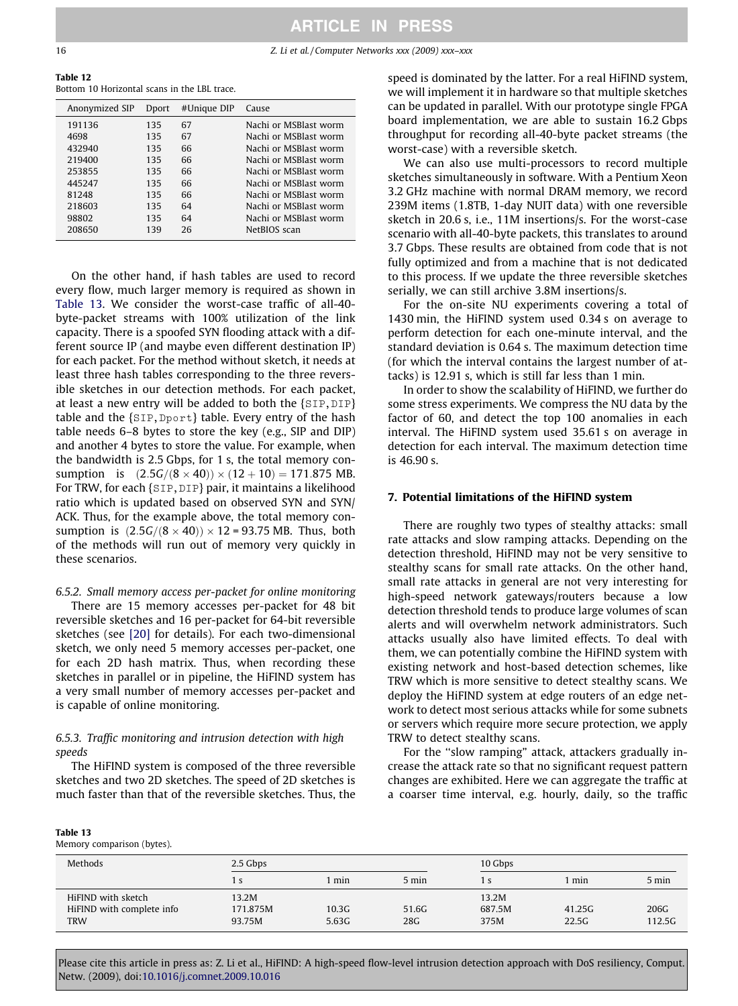#### <span id="page-15-0"></span>16 Z. Li et al. / Computer Networks xxx (2009) xxx–xxx

Table 12 Bottom 10 Horizontal scans in the LBL trace.

| Anonymized SIP | Dport | #Unique DIP | Cause                 |
|----------------|-------|-------------|-----------------------|
| 191136         | 135   | 67          | Nachi or MSBlast worm |
| 4698           | 135   | 67          | Nachi or MSBlast worm |
| 432940         | 135   | 66          | Nachi or MSBlast worm |
| 219400         | 135   | 66          | Nachi or MSBlast worm |
| 253855         | 135   | 66          | Nachi or MSBlast worm |
| 445247         | 135   | 66          | Nachi or MSBlast worm |
| 81248          | 135   | 66          | Nachi or MSBlast worm |
| 218603         | 135   | 64          | Nachi or MSBlast worm |
| 98802          | 135   | 64          | Nachi or MSBlast worm |
| 208650         | 139   | 26          | NetBIOS scan          |

On the other hand, if hash tables are used to record every flow, much larger memory is required as shown in Table 13. We consider the worst-case traffic of all-40 byte-packet streams with 100% utilization of the link capacity. There is a spoofed SYN flooding attack with a different source IP (and maybe even different destination IP) for each packet. For the method without sketch, it needs at least three hash tables corresponding to the three reversible sketches in our detection methods. For each packet, at least a new entry will be added to both the {SIP, DIP} table and the {SIP, Dport} table. Every entry of the hash table needs 6–8 bytes to store the key (e.g., SIP and DIP) and another 4 bytes to store the value. For example, when the bandwidth is 2.5 Gbps, for 1 s, the total memory consumption is  $(2.5G/(8 \times 40)) \times (12 + 10) = 171.875 \text{ MB}.$ For TRW, for each {SIP, DIP} pair, it maintains a likelihood ratio which is updated based on observed SYN and SYN/ ACK. Thus, for the example above, the total memory consumption is  $(2.5G/(8 \times 40)) \times 12 = 93.75$  MB. Thus, both of the methods will run out of memory very quickly in these scenarios.

## 6.5.2. Small memory access per-packet for online monitoring

There are 15 memory accesses per-packet for 48 bit reversible sketches and 16 per-packet for 64-bit reversible sketches (see [\[20\]](#page-16-0) for details). For each two-dimensional sketch, we only need 5 memory accesses per-packet, one for each 2D hash matrix. Thus, when recording these sketches in parallel or in pipeline, the HiFIND system has a very small number of memory accesses per-packet and is capable of online monitoring.

## 6.5.3. Traffic monitoring and intrusion detection with high speeds

The HiFIND system is composed of the three reversible sketches and two 2D sketches. The speed of 2D sketches is much faster than that of the reversible sketches. Thus, the

Table 13

speed is dominated by the latter. For a real HiFIND system, we will implement it in hardware so that multiple sketches can be updated in parallel. With our prototype single FPGA board implementation, we are able to sustain 16.2 Gbps throughput for recording all-40-byte packet streams (the worst-case) with a reversible sketch.

We can also use multi-processors to record multiple sketches simultaneously in software. With a Pentium Xeon 3.2 GHz machine with normal DRAM memory, we record 239M items (1.8TB, 1-day NUIT data) with one reversible sketch in 20.6 s, i.e., 11M insertions/s. For the worst-case scenario with all-40-byte packets, this translates to around 3.7 Gbps. These results are obtained from code that is not fully optimized and from a machine that is not dedicated to this process. If we update the three reversible sketches serially, we can still archive 3.8M insertions/s.

For the on-site NU experiments covering a total of 1430 min, the HiFIND system used 0.34 s on average to perform detection for each one-minute interval, and the standard deviation is 0.64 s. The maximum detection time (for which the interval contains the largest number of attacks) is 12.91 s, which is still far less than 1 min.

In order to show the scalability of HiFIND, we further do some stress experiments. We compress the NU data by the factor of 60, and detect the top 100 anomalies in each interval. The HiFIND system used 35.61 s on average in detection for each interval. The maximum detection time is 46.90 s.

## 7. Potential limitations of the HiFIND system

There are roughly two types of stealthy attacks: small rate attacks and slow ramping attacks. Depending on the detection threshold, HiFIND may not be very sensitive to stealthy scans for small rate attacks. On the other hand, small rate attacks in general are not very interesting for high-speed network gateways/routers because a low detection threshold tends to produce large volumes of scan alerts and will overwhelm network administrators. Such attacks usually also have limited effects. To deal with them, we can potentially combine the HiFIND system with existing network and host-based detection schemes, like TRW which is more sensitive to detect stealthy scans. We deploy the HiFIND system at edge routers of an edge network to detect most serious attacks while for some subnets or servers which require more secure protection, we apply TRW to detect stealthy scans.

For the "slow ramping" attack, attackers gradually increase the attack rate so that no significant request pattern changes are exhibited. Here we can aggregate the traffic at a coarser time interval, e.g. hourly, daily, so the traffic

| Memory comparison (bytes).                                    |                             |                |              |                         |                 |                |  |
|---------------------------------------------------------------|-----------------------------|----------------|--------------|-------------------------|-----------------|----------------|--|
| Methods                                                       | 2.5 Gbps                    |                |              | 10 Gbps                 |                 |                |  |
|                                                               | 1 s                         | min            | 5 min        | 1 s                     | 1 min           | 5 min          |  |
| HiFIND with sketch<br>HiFIND with complete info<br><b>TRW</b> | 13.2M<br>171.875M<br>93.75M | 10.3G<br>5.63G | 51.6G<br>28G | 13.2M<br>687.5M<br>375M | 41.25G<br>22.5G | 206G<br>112.5G |  |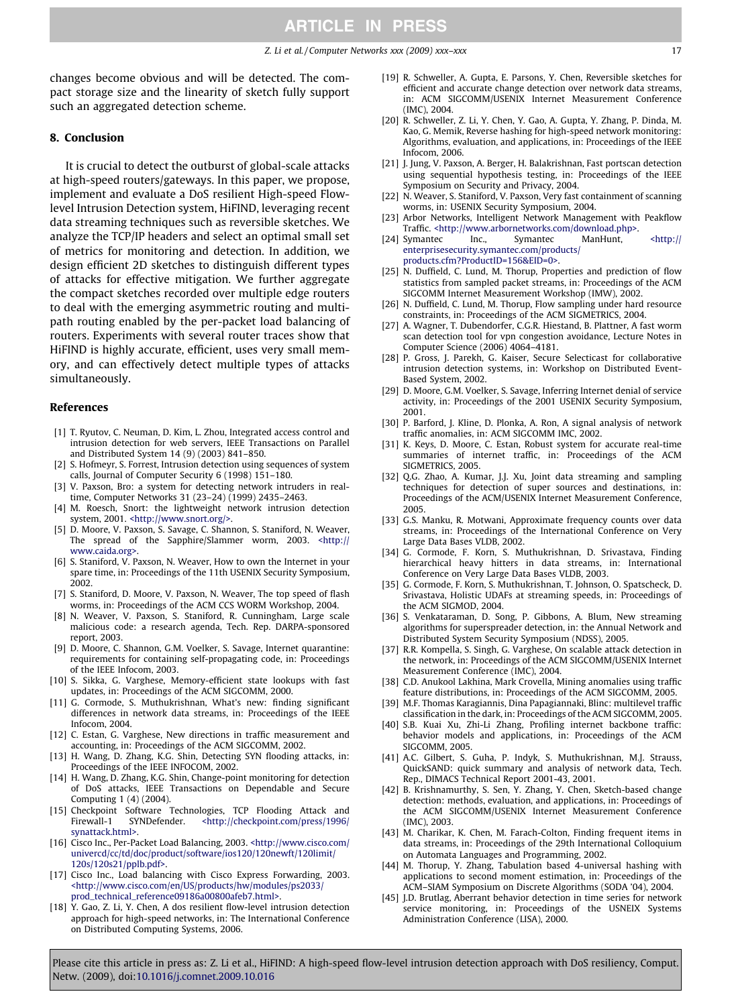<span id="page-16-0"></span>changes become obvious and will be detected. The compact storage size and the linearity of sketch fully support such an aggregated detection scheme.

## 8. Conclusion

It is crucial to detect the outburst of global-scale attacks at high-speed routers/gateways. In this paper, we propose, implement and evaluate a DoS resilient High-speed Flowlevel Intrusion Detection system, HiFIND, leveraging recent data streaming techniques such as reversible sketches. We analyze the TCP/IP headers and select an optimal small set of metrics for monitoring and detection. In addition, we design efficient 2D sketches to distinguish different types of attacks for effective mitigation. We further aggregate the compact sketches recorded over multiple edge routers to deal with the emerging asymmetric routing and multipath routing enabled by the per-packet load balancing of routers. Experiments with several router traces show that HiFIND is highly accurate, efficient, uses very small memory, and can effectively detect multiple types of attacks simultaneously.

#### References

- [1] T. Ryutov, C. Neuman, D. Kim, L. Zhou, Integrated access control and intrusion detection for web servers, IEEE Transactions on Parallel and Distributed System 14 (9) (2003) 841–850.
- [2] S. Hofmeyr, S. Forrest, Intrusion detection using sequences of system calls, Journal of Computer Security 6 (1998) 151–180.
- [3] V. Paxson, Bro: a system for detecting network intruders in realtime, Computer Networks 31 (23–24) (1999) 2435–2463.
- [4] M. Roesch, Snort: the lightweight network intrusion detection system, 2001. < http://www.snort.org/>.
- [5] D. Moore, V. Paxson, S. Savage, C. Shannon, S. Staniford, N. Weaver, The spread of the Sapphire/Slammer worm, 2003. [<http://](http://www.caida.org) [www.caida.org>.](http://www.caida.org)
- [6] S. Staniford, V. Paxson, N. Weaver, How to own the Internet in your spare time, in: Proceedings of the 11th USENIX Security Symposium, 2002.
- [7] S. Staniford, D. Moore, V. Paxson, N. Weaver, The top speed of flash worms, in: Proceedings of the ACM CCS WORM Workshop, 2004.
- [8] N. Weaver, V. Paxson, S. Staniford, R. Cunningham, Large scale malicious code: a research agenda, Tech. Rep. DARPA-sponsored report, 2003.
- [9] D. Moore, C. Shannon, G.M. Voelker, S. Savage, Internet quarantine: requirements for containing self-propagating code, in: Proceedings of the IEEE Infocom, 2003.
- [10] S. Sikka, G. Varghese, Memory-efficient state lookups with fast updates, in: Proceedings of the ACM SIGCOMM, 2000.
- [11] G. Cormode, S. Muthukrishnan, What's new: finding significant differences in network data streams, in: Proceedings of the IEEE Infocom, 2004.
- [12] C. Estan, G. Varghese, New directions in traffic measurement and accounting, in: Proceedings of the ACM SIGCOMM, 2002.
- [13] H. Wang, D. Zhang, K.G. Shin, Detecting SYN flooding attacks, in: Proceedings of the IEEE INFOCOM, 2002.
- [14] H. Wang, D. Zhang, K.G. Shin, Change-point monitoring for detection of DoS attacks, IEEE Transactions on Dependable and Secure Computing 1 (4) (2004).
- [15] Checkpoint Software Technologies, TCP Flooding Attack and Firewall-1 SYNDefender. [<http://checkpoint.com/press/1996/](http://checkpoint.com/press/1996/synattack.html) [synattack.html>.](http://checkpoint.com/press/1996/synattack.html)
- [16] Cisco Inc., Per-Packet Load Balancing, 2003. [<http://www.cisco.com/](http://www.cisco.com/univercd/cc/td/doc/product/software/ios120/120newft/120limit/120s/120s21/pplb.pdf) [univercd/cc/td/doc/product/software/ios120/120newft/120limit/](http://www.cisco.com/univercd/cc/td/doc/product/software/ios120/120newft/120limit/120s/120s21/pplb.pdf) [120s/120s21/pplb.pdf>](http://www.cisco.com/univercd/cc/td/doc/product/software/ios120/120newft/120limit/120s/120s21/pplb.pdf).
- [17] Cisco Inc., Load balancing with Cisco Express Forwarding, 2003. [<http://www.cisco.com/en/US/products/hw/modules/ps2033/](http://www.cisco.com/en/US/products/hw/modules/ps2033/prod_technical_reference09186a00800afeb7.html) [prod\\_technical\\_reference09186a00800afeb7.html>](http://www.cisco.com/en/US/products/hw/modules/ps2033/prod_technical_reference09186a00800afeb7.html).
- [18] Y. Gao, Z. Li, Y. Chen, A dos resilient flow-level intrusion detection approach for high-speed networks, in: The International Conference on Distributed Computing Systems, 2006.
- [19] R. Schweller, A. Gupta, E. Parsons, Y. Chen, Reversible sketches for efficient and accurate change detection over network data streams, in: ACM SIGCOMM/USENIX Internet Measurement Conference (IMC), 2004.
- [20] R. Schweller, Z. Li, Y. Chen, Y. Gao, A. Gupta, Y. Zhang, P. Dinda, M. Kao, G. Memik, Reverse hashing for high-speed network monitoring: Algorithms, evaluation, and applications, in: Proceedings of the IEEE Infocom, 2006.
- [21] J. Jung, V. Paxson, A. Berger, H. Balakrishnan, Fast portscan detection using sequential hypothesis testing, in: Proceedings of the IEEE Symposium on Security and Privacy, 2004.
- [22] N. Weaver, S. Staniford, V. Paxson, Very fast containment of scanning worms, in: USENIX Security Symposium, 2004.
- [23] Arbor Networks, Intelligent Network Management with Peakflow Traffic. [<http://www.arbornetworks.com/download.php>](http://www.arbornetworks.com/download.php).
- [24] Symantec Inc., Symantec ManHunt, [<http://](http://enterprisesecurity.symantec.com/products/products.cfm?ProductID=156&EID=0) [enterprisesecurity.symantec.com/products/](http://enterprisesecurity.symantec.com/products/products.cfm?ProductID=156&EID=0) [products.cfm?ProductID=156&EID=0>.](http://enterprisesecurity.symantec.com/products/products.cfm?ProductID=156&EID=0)
- [25] N. Duffield, C. Lund, M. Thorup, Properties and prediction of flow statistics from sampled packet streams, in: Proceedings of the ACM SIGCOMM Internet Measurement Workshop (IMW), 2002.
- [26] N. Duffield, C. Lund, M. Thorup, Flow sampling under hard resource constraints, in: Proceedings of the ACM SIGMETRICS, 2004.
- [27] A. Wagner, T. Dubendorfer, C.G.R. Hiestand, B. Plattner, A fast worm scan detection tool for vpn congestion avoidance, Lecture Notes in Computer Science (2006) 4064–4181.
- [28] P. Gross, J. Parekh, G. Kaiser, Secure Selecticast for collaborative intrusion detection systems, in: Workshop on Distributed Event-Based System, 2002.
- [29] D. Moore, G.M. Voelker, S. Savage, Inferring Internet denial of service activity, in: Proceedings of the 2001 USENIX Security Symposium, 2001.
- [30] P. Barford, J. Kline, D. Plonka, A. Ron, A signal analysis of network traffic anomalies, in: ACM SIGCOMM IMC, 2002.
- [31] K. Keys, D. Moore, C. Estan, Robust system for accurate real-time summaries of internet traffic, in: Proceedings of the ACM SIGMETRICS, 2005.
- [32] Q.G. Zhao, A. Kumar, J.J. Xu, Joint data streaming and sampling techniques for detection of super sources and destinations, in: Proceedings of the ACM/USENIX Internet Measurement Conference, 2005.
- [33] G.S. Manku, R. Motwani, Approximate frequency counts over data streams, in: Proceedings of the International Conference on Very Large Data Bases VLDB, 2002.
- [34] G. Cormode, F. Korn, S. Muthukrishnan, D. Srivastava, Finding hierarchical heavy hitters in data streams, in: International Conference on Very Large Data Bases VLDB, 2003.
- [35] G. Cormode, F. Korn, S. Muthukrishnan, T. Johnson, O. Spatscheck, D. Srivastava, Holistic UDAFs at streaming speeds, in: Proceedings of the ACM SIGMOD, 2004.
- [36] S. Venkataraman, D. Song, P. Gibbons, A. Blum, New streaming algorithms for superspreader detection, in: the Annual Network and Distributed System Security Symposium (NDSS), 2005.
- [37] R.R. Kompella, S. Singh, G. Varghese, On scalable attack detection in the network, in: Proceedings of the ACM SIGCOMM/USENIX Internet Measurement Conference (IMC), 2004.
- [38] C.D. Anukool Lakhina, Mark Crovella, Mining anomalies using traffic feature distributions, in: Proceedings of the ACM SIGCOMM, 2005.
- [39] M.F. Thomas Karagiannis, Dina Papagiannaki, Blinc: multilevel traffic classification in the dark, in: Proceedings of the ACM SIGCOMM, 2005.
- [40] S.B. Kuai Xu, Zhi-Li Zhang, Profiling internet backbone traffic: behavior models and applications, in: Proceedings of the ACM SIGCOMM, 2005.
- [41] A.C. Gilbert, S. Guha, P. Indyk, S. Muthukrishnan, M.J. Strauss, QuickSAND: quick summary and analysis of network data, Tech. Rep., DIMACS Technical Report 2001-43, 2001.
- [42] B. Krishnamurthy, S. Sen, Y. Zhang, Y. Chen, Sketch-based change detection: methods, evaluation, and applications, in: Proceedings of the ACM SIGCOMM/USENIX Internet Measurement Conference (IMC), 2003.
- [43] M. Charikar, K. Chen, M. Farach-Colton, Finding frequent items in data streams, in: Proceedings of the 29th International Colloquium on Automata Languages and Programming, 2002.
- [44] M. Thorup, Y. Zhang, Tabulation based 4-universal hashing with applications to second moment estimation, in: Proceedings of the ACM–SIAM Symposium on Discrete Algorithms (SODA '04), 2004.
- [45] J.D. Brutlag, Aberrant behavior detection in time series for network service monitoring, in: Proceedings of the USNEIX Systems Administration Conference (LISA), 2000.